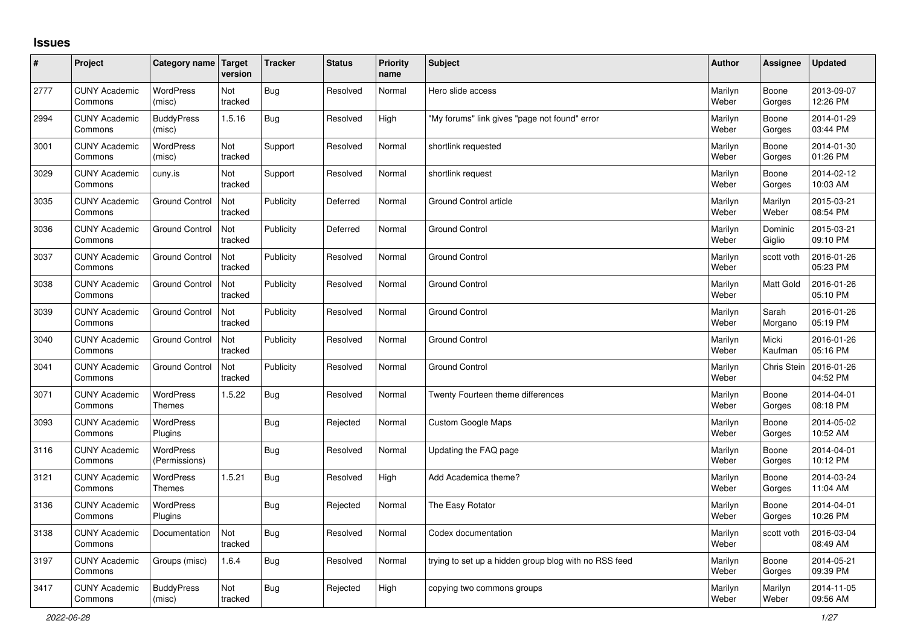## **Issues**

| #    | Project                         | Category name Target              | version        | <b>Tracker</b> | <b>Status</b> | <b>Priority</b><br>name | <b>Subject</b>                                        | <b>Author</b>    | Assignee           | <b>Updated</b>         |
|------|---------------------------------|-----------------------------------|----------------|----------------|---------------|-------------------------|-------------------------------------------------------|------------------|--------------------|------------------------|
| 2777 | <b>CUNY Academic</b><br>Commons | WordPress<br>(misc)               | Not<br>tracked | Bug            | Resolved      | Normal                  | Hero slide access                                     | Marilyn<br>Weber | Boone<br>Gorges    | 2013-09-07<br>12:26 PM |
| 2994 | <b>CUNY Academic</b><br>Commons | <b>BuddyPress</b><br>(misc)       | 1.5.16         | Bug            | Resolved      | High                    | 'My forums" link gives "page not found" error         | Marilyn<br>Weber | Boone<br>Gorges    | 2014-01-29<br>03:44 PM |
| 3001 | <b>CUNY Academic</b><br>Commons | <b>WordPress</b><br>(misc)        | Not<br>tracked | Support        | Resolved      | Normal                  | shortlink requested                                   | Marilyn<br>Weber | Boone<br>Gorges    | 2014-01-30<br>01:26 PM |
| 3029 | <b>CUNY Academic</b><br>Commons | cuny.is                           | Not<br>tracked | Support        | Resolved      | Normal                  | shortlink request                                     | Marilyn<br>Weber | Boone<br>Gorges    | 2014-02-12<br>10:03 AM |
| 3035 | <b>CUNY Academic</b><br>Commons | <b>Ground Control</b>             | Not<br>tracked | Publicity      | Deferred      | Normal                  | Ground Control article                                | Marilyn<br>Weber | Marilyn<br>Weber   | 2015-03-21<br>08:54 PM |
| 3036 | <b>CUNY Academic</b><br>Commons | <b>Ground Control</b>             | Not<br>tracked | Publicity      | Deferred      | Normal                  | <b>Ground Control</b>                                 | Marilyn<br>Weber | Dominic<br>Giglio  | 2015-03-21<br>09:10 PM |
| 3037 | <b>CUNY Academic</b><br>Commons | <b>Ground Control</b>             | Not<br>tracked | Publicity      | Resolved      | Normal                  | <b>Ground Control</b>                                 | Marilyn<br>Weber | scott voth         | 2016-01-26<br>05:23 PM |
| 3038 | <b>CUNY Academic</b><br>Commons | <b>Ground Control</b>             | Not<br>tracked | Publicity      | Resolved      | Normal                  | <b>Ground Control</b>                                 | Marilyn<br>Weber | Matt Gold          | 2016-01-26<br>05:10 PM |
| 3039 | <b>CUNY Academic</b><br>Commons | <b>Ground Control</b>             | Not<br>tracked | Publicity      | Resolved      | Normal                  | <b>Ground Control</b>                                 | Marilyn<br>Weber | Sarah<br>Morgano   | 2016-01-26<br>05:19 PM |
| 3040 | <b>CUNY Academic</b><br>Commons | <b>Ground Control</b>             | Not<br>tracked | Publicity      | Resolved      | Normal                  | <b>Ground Control</b>                                 | Marilyn<br>Weber | Micki<br>Kaufman   | 2016-01-26<br>05:16 PM |
| 3041 | <b>CUNY Academic</b><br>Commons | <b>Ground Control</b>             | Not<br>tracked | Publicity      | Resolved      | Normal                  | <b>Ground Control</b>                                 | Marilyn<br>Weber | <b>Chris Stein</b> | 2016-01-26<br>04:52 PM |
| 3071 | <b>CUNY Academic</b><br>Commons | <b>WordPress</b><br><b>Themes</b> | 1.5.22         | Bug            | Resolved      | Normal                  | Twenty Fourteen theme differences                     | Marilyn<br>Weber | Boone<br>Gorges    | 2014-04-01<br>08:18 PM |
| 3093 | <b>CUNY Academic</b><br>Commons | <b>WordPress</b><br>Plugins       |                | Bug            | Rejected      | Normal                  | <b>Custom Google Maps</b>                             | Marilyn<br>Weber | Boone<br>Gorges    | 2014-05-02<br>10:52 AM |
| 3116 | <b>CUNY Academic</b><br>Commons | <b>WordPress</b><br>(Permissions) |                | Bug            | Resolved      | Normal                  | Updating the FAQ page                                 | Marilyn<br>Weber | Boone<br>Gorges    | 2014-04-01<br>10:12 PM |
| 3121 | <b>CUNY Academic</b><br>Commons | <b>WordPress</b><br><b>Themes</b> | 1.5.21         | Bug            | Resolved      | High                    | Add Academica theme?                                  | Marilyn<br>Weber | Boone<br>Gorges    | 2014-03-24<br>11:04 AM |
| 3136 | <b>CUNY Academic</b><br>Commons | WordPress<br>Plugins              |                | <b>Bug</b>     | Rejected      | Normal                  | The Easy Rotator                                      | Marilyn<br>Weber | Boone<br>Gorges    | 2014-04-01<br>10:26 PM |
| 3138 | <b>CUNY Academic</b><br>Commons | Documentation                     | Not<br>tracked | Bug            | Resolved      | Normal                  | Codex documentation                                   | Marilyn<br>Weber | scott voth         | 2016-03-04<br>08:49 AM |
| 3197 | <b>CUNY Academic</b><br>Commons | Groups (misc)                     | 1.6.4          | Bug            | Resolved      | Normal                  | trying to set up a hidden group blog with no RSS feed | Marilyn<br>Weber | Boone<br>Gorges    | 2014-05-21<br>09:39 PM |
| 3417 | <b>CUNY Academic</b><br>Commons | <b>BuddyPress</b><br>(misc)       | Not<br>tracked | <b>Bug</b>     | Rejected      | High                    | copying two commons groups                            | Marilyn<br>Weber | Marilyn<br>Weber   | 2014-11-05<br>09:56 AM |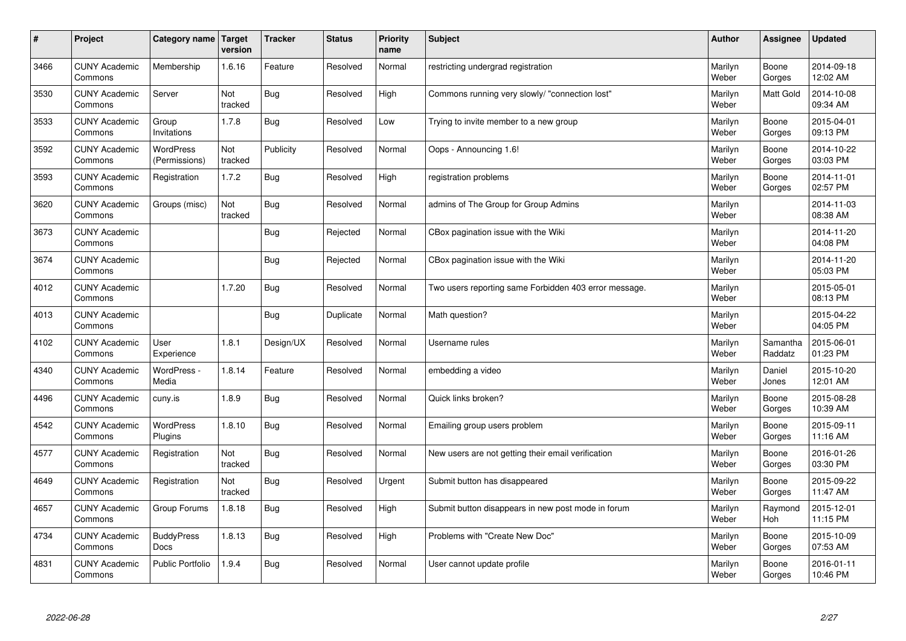| $\sharp$ | Project                         | Category name   Target            | version        | <b>Tracker</b> | <b>Status</b> | <b>Priority</b><br>name | <b>Subject</b>                                        | <b>Author</b>    | Assignee              | <b>Updated</b>         |
|----------|---------------------------------|-----------------------------------|----------------|----------------|---------------|-------------------------|-------------------------------------------------------|------------------|-----------------------|------------------------|
| 3466     | <b>CUNY Academic</b><br>Commons | Membership                        | 1.6.16         | Feature        | Resolved      | Normal                  | restricting undergrad registration                    | Marilyn<br>Weber | Boone<br>Gorges       | 2014-09-18<br>12:02 AM |
| 3530     | <b>CUNY Academic</b><br>Commons | Server                            | Not<br>tracked | Bug            | Resolved      | High                    | Commons running very slowly/ "connection lost"        | Marilyn<br>Weber | <b>Matt Gold</b>      | 2014-10-08<br>09:34 AM |
| 3533     | <b>CUNY Academic</b><br>Commons | Group<br>Invitations              | 1.7.8          | <b>Bug</b>     | Resolved      | Low                     | Trying to invite member to a new group                | Marilyn<br>Weber | Boone<br>Gorges       | 2015-04-01<br>09:13 PM |
| 3592     | <b>CUNY Academic</b><br>Commons | <b>WordPress</b><br>(Permissions) | Not<br>tracked | Publicity      | Resolved      | Normal                  | Oops - Announcing 1.6!                                | Marilyn<br>Weber | Boone<br>Gorges       | 2014-10-22<br>03:03 PM |
| 3593     | <b>CUNY Academic</b><br>Commons | Registration                      | 1.7.2          | Bug            | Resolved      | High                    | registration problems                                 | Marilyn<br>Weber | Boone<br>Gorges       | 2014-11-01<br>02:57 PM |
| 3620     | <b>CUNY Academic</b><br>Commons | Groups (misc)                     | Not<br>tracked | Bug            | Resolved      | Normal                  | admins of The Group for Group Admins                  | Marilyn<br>Weber |                       | 2014-11-03<br>08:38 AM |
| 3673     | <b>CUNY Academic</b><br>Commons |                                   |                | Bug            | Rejected      | Normal                  | CBox pagination issue with the Wiki                   | Marilyn<br>Weber |                       | 2014-11-20<br>04:08 PM |
| 3674     | <b>CUNY Academic</b><br>Commons |                                   |                | Bug            | Rejected      | Normal                  | CBox pagination issue with the Wiki                   | Marilyn<br>Weber |                       | 2014-11-20<br>05:03 PM |
| 4012     | <b>CUNY Academic</b><br>Commons |                                   | 1.7.20         | Bug            | Resolved      | Normal                  | Two users reporting same Forbidden 403 error message. | Marilyn<br>Weber |                       | 2015-05-01<br>08:13 PM |
| 4013     | <b>CUNY Academic</b><br>Commons |                                   |                | Bug            | Duplicate     | Normal                  | Math question?                                        | Marilyn<br>Weber |                       | 2015-04-22<br>04:05 PM |
| 4102     | <b>CUNY Academic</b><br>Commons | User<br>Experience                | 1.8.1          | Design/UX      | Resolved      | Normal                  | Username rules                                        | Marilyn<br>Weber | Samantha<br>Raddatz   | 2015-06-01<br>01:23 PM |
| 4340     | <b>CUNY Academic</b><br>Commons | WordPress -<br>Media              | 1.8.14         | Feature        | Resolved      | Normal                  | embedding a video                                     | Marilyn<br>Weber | Daniel<br>Jones       | 2015-10-20<br>12:01 AM |
| 4496     | <b>CUNY Academic</b><br>Commons | cuny.is                           | 1.8.9          | Bug            | Resolved      | Normal                  | Quick links broken?                                   | Marilyn<br>Weber | Boone<br>Gorges       | 2015-08-28<br>10:39 AM |
| 4542     | <b>CUNY Academic</b><br>Commons | WordPress<br>Plugins              | 1.8.10         | Bug            | Resolved      | Normal                  | Emailing group users problem                          | Marilyn<br>Weber | Boone<br>Gorges       | 2015-09-11<br>11:16 AM |
| 4577     | <b>CUNY Academic</b><br>Commons | Registration                      | Not<br>tracked | Bug            | Resolved      | Normal                  | New users are not getting their email verification    | Marilyn<br>Weber | Boone<br>Gorges       | 2016-01-26<br>03:30 PM |
| 4649     | <b>CUNY Academic</b><br>Commons | Registration                      | Not<br>tracked | Bug            | Resolved      | Urgent                  | Submit button has disappeared                         | Marilyn<br>Weber | Boone<br>Gorges       | 2015-09-22<br>11:47 AM |
| 4657     | <b>CUNY Academic</b><br>Commons | Group Forums                      | 1.8.18         | Bug            | Resolved      | High                    | Submit button disappears in new post mode in forum    | Marilyn<br>Weber | Raymond<br><b>Hoh</b> | 2015-12-01<br>11:15 PM |
| 4734     | <b>CUNY Academic</b><br>Commons | <b>BuddyPress</b><br>Docs         | 1.8.13         | Bug            | Resolved      | High                    | Problems with "Create New Doc"                        | Marilyn<br>Weber | Boone<br>Gorges       | 2015-10-09<br>07:53 AM |
| 4831     | <b>CUNY Academic</b><br>Commons | <b>Public Portfolio</b>           | 1.9.4          | Bug            | Resolved      | Normal                  | User cannot update profile                            | Marilyn<br>Weber | Boone<br>Gorges       | 2016-01-11<br>10:46 PM |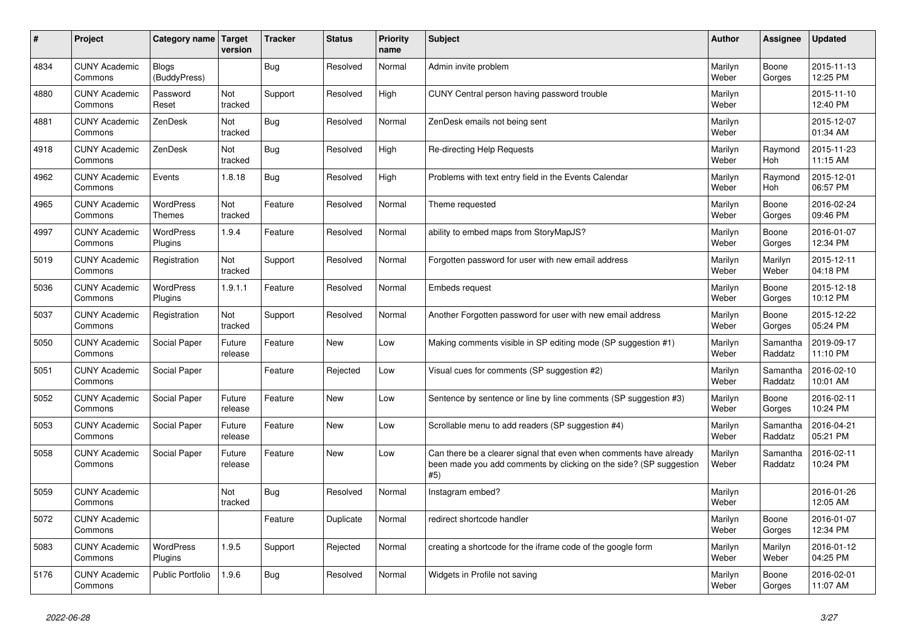| #    | Project                         | Category name                | <b>Target</b><br>version | <b>Tracker</b> | <b>Status</b> | <b>Priority</b><br>name | <b>Subject</b>                                                                                                                                  | Author           | Assignee            | <b>Updated</b>         |
|------|---------------------------------|------------------------------|--------------------------|----------------|---------------|-------------------------|-------------------------------------------------------------------------------------------------------------------------------------------------|------------------|---------------------|------------------------|
| 4834 | <b>CUNY Academic</b><br>Commons | <b>Blogs</b><br>(BuddyPress) |                          | Bug            | Resolved      | Normal                  | Admin invite problem                                                                                                                            | Marilyn<br>Weber | Boone<br>Gorges     | 2015-11-13<br>12:25 PM |
| 4880 | <b>CUNY Academic</b><br>Commons | Password<br>Reset            | Not<br>tracked           | Support        | Resolved      | High                    | CUNY Central person having password trouble                                                                                                     | Marilyn<br>Weber |                     | 2015-11-10<br>12:40 PM |
| 4881 | <b>CUNY Academic</b><br>Commons | ZenDesk                      | Not<br>tracked           | <b>Bug</b>     | Resolved      | Normal                  | ZenDesk emails not being sent                                                                                                                   | Marilyn<br>Weber |                     | 2015-12-07<br>01:34 AM |
| 4918 | <b>CUNY Academic</b><br>Commons | ZenDesk                      | Not<br>tracked           | <b>Bug</b>     | Resolved      | High                    | <b>Re-directing Help Requests</b>                                                                                                               | Marilyn<br>Weber | Raymond<br>Hoh      | 2015-11-23<br>11:15 AM |
| 4962 | <b>CUNY Academic</b><br>Commons | Events                       | 1.8.18                   | Bug            | Resolved      | High                    | Problems with text entry field in the Events Calendar                                                                                           | Marilyn<br>Weber | Raymond<br>Hoh      | 2015-12-01<br>06:57 PM |
| 4965 | <b>CUNY Academic</b><br>Commons | WordPress<br>Themes          | Not<br>tracked           | Feature        | Resolved      | Normal                  | Theme requested                                                                                                                                 | Marilyn<br>Weber | Boone<br>Gorges     | 2016-02-24<br>09:46 PM |
| 4997 | <b>CUNY Academic</b><br>Commons | <b>WordPress</b><br>Plugins  | 1.9.4                    | Feature        | Resolved      | Normal                  | ability to embed maps from StoryMapJS?                                                                                                          | Marilyn<br>Weber | Boone<br>Gorges     | 2016-01-07<br>12:34 PM |
| 5019 | <b>CUNY Academic</b><br>Commons | Registration                 | Not<br>tracked           | Support        | Resolved      | Normal                  | Forgotten password for user with new email address                                                                                              | Marilyn<br>Weber | Marilyn<br>Weber    | 2015-12-11<br>04:18 PM |
| 5036 | <b>CUNY Academic</b><br>Commons | WordPress<br>Plugins         | 1.9.1.1                  | Feature        | Resolved      | Normal                  | Embeds request                                                                                                                                  | Marilyn<br>Weber | Boone<br>Gorges     | 2015-12-18<br>10:12 PM |
| 5037 | <b>CUNY Academic</b><br>Commons | Registration                 | Not<br>tracked           | Support        | Resolved      | Normal                  | Another Forgotten password for user with new email address                                                                                      | Marilyn<br>Weber | Boone<br>Gorges     | 2015-12-22<br>05:24 PM |
| 5050 | <b>CUNY Academic</b><br>Commons | Social Paper                 | Future<br>release        | Feature        | <b>New</b>    | Low                     | Making comments visible in SP editing mode (SP suggestion #1)                                                                                   | Marilyn<br>Weber | Samantha<br>Raddatz | 2019-09-17<br>11:10 PM |
| 5051 | <b>CUNY Academic</b><br>Commons | Social Paper                 |                          | Feature        | Rejected      | Low                     | Visual cues for comments (SP suggestion #2)                                                                                                     | Marilyn<br>Weber | Samantha<br>Raddatz | 2016-02-10<br>10:01 AM |
| 5052 | <b>CUNY Academic</b><br>Commons | Social Paper                 | Future<br>release        | Feature        | <b>New</b>    | Low                     | Sentence by sentence or line by line comments (SP suggestion #3)                                                                                | Marilyn<br>Weber | Boone<br>Gorges     | 2016-02-11<br>10:24 PM |
| 5053 | <b>CUNY Academic</b><br>Commons | Social Paper                 | Future<br>release        | Feature        | <b>New</b>    | Low                     | Scrollable menu to add readers (SP suggestion #4)                                                                                               | Marilyn<br>Weber | Samantha<br>Raddatz | 2016-04-21<br>05:21 PM |
| 5058 | <b>CUNY Academic</b><br>Commons | Social Paper                 | Future<br>release        | Feature        | <b>New</b>    | Low                     | Can there be a clearer signal that even when comments have already<br>been made you add comments by clicking on the side? (SP suggestion<br>#5) | Marilyn<br>Weber | Samantha<br>Raddatz | 2016-02-11<br>10:24 PM |
| 5059 | <b>CUNY Academic</b><br>Commons |                              | Not<br>tracked           | Bug            | Resolved      | Normal                  | Instagram embed?                                                                                                                                | Marilyn<br>Weber |                     | 2016-01-26<br>12:05 AM |
| 5072 | <b>CUNY Academic</b><br>Commons |                              |                          | Feature        | Duplicate     | Normal                  | redirect shortcode handler                                                                                                                      | Marilyn<br>Weber | Boone<br>Gorges     | 2016-01-07<br>12:34 PM |
| 5083 | <b>CUNY Academic</b><br>Commons | WordPress<br>Plugins         | 1.9.5                    | Support        | Rejected      | Normal                  | creating a shortcode for the iframe code of the google form                                                                                     | Marilyn<br>Weber | Marilyn<br>Weber    | 2016-01-12<br>04:25 PM |
| 5176 | <b>CUNY Academic</b><br>Commons | Public Portfolio             | 1.9.6                    | Bug            | Resolved      | Normal                  | Widgets in Profile not saving                                                                                                                   | Marilyn<br>Weber | Boone<br>Gorges     | 2016-02-01<br>11:07 AM |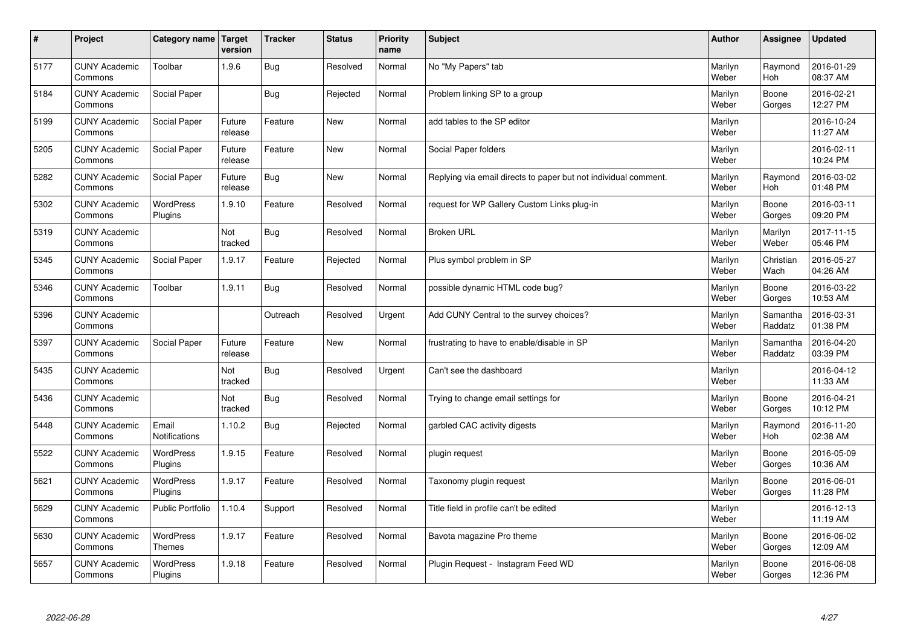| $\sharp$ | Project                         | Category name   Target      | version           | <b>Tracker</b> | <b>Status</b> | <b>Priority</b><br>name | <b>Subject</b>                                                  | <b>Author</b>    | Assignee              | <b>Updated</b>         |
|----------|---------------------------------|-----------------------------|-------------------|----------------|---------------|-------------------------|-----------------------------------------------------------------|------------------|-----------------------|------------------------|
| 5177     | <b>CUNY Academic</b><br>Commons | Toolbar                     | 1.9.6             | Bug            | Resolved      | Normal                  | No "My Papers" tab                                              | Marilyn<br>Weber | Raymond<br>Hoh        | 2016-01-29<br>08:37 AM |
| 5184     | <b>CUNY Academic</b><br>Commons | Social Paper                |                   | Bug            | Rejected      | Normal                  | Problem linking SP to a group                                   | Marilyn<br>Weber | Boone<br>Gorges       | 2016-02-21<br>12:27 PM |
| 5199     | <b>CUNY Academic</b><br>Commons | Social Paper                | Future<br>release | Feature        | New           | Normal                  | add tables to the SP editor                                     | Marilyn<br>Weber |                       | 2016-10-24<br>11:27 AM |
| 5205     | <b>CUNY Academic</b><br>Commons | Social Paper                | Future<br>release | Feature        | <b>New</b>    | Normal                  | Social Paper folders                                            | Marilyn<br>Weber |                       | 2016-02-11<br>10:24 PM |
| 5282     | <b>CUNY Academic</b><br>Commons | Social Paper                | Future<br>release | Bug            | <b>New</b>    | Normal                  | Replying via email directs to paper but not individual comment. | Marilyn<br>Weber | Raymond<br>Hoh        | 2016-03-02<br>01:48 PM |
| 5302     | <b>CUNY Academic</b><br>Commons | WordPress<br>Plugins        | 1.9.10            | Feature        | Resolved      | Normal                  | request for WP Gallery Custom Links plug-in                     | Marilyn<br>Weber | Boone<br>Gorges       | 2016-03-11<br>09:20 PM |
| 5319     | <b>CUNY Academic</b><br>Commons |                             | Not<br>tracked    | <b>Bug</b>     | Resolved      | Normal                  | <b>Broken URL</b>                                               | Marilyn<br>Weber | Marilyn<br>Weber      | 2017-11-15<br>05:46 PM |
| 5345     | <b>CUNY Academic</b><br>Commons | Social Paper                | 1.9.17            | Feature        | Rejected      | Normal                  | Plus symbol problem in SP                                       | Marilyn<br>Weber | Christian<br>Wach     | 2016-05-27<br>04:26 AM |
| 5346     | <b>CUNY Academic</b><br>Commons | Toolbar                     | 1.9.11            | Bug            | Resolved      | Normal                  | possible dynamic HTML code bug?                                 | Marilyn<br>Weber | Boone<br>Gorges       | 2016-03-22<br>10:53 AM |
| 5396     | <b>CUNY Academic</b><br>Commons |                             |                   | Outreach       | Resolved      | Urgent                  | Add CUNY Central to the survey choices?                         | Marilyn<br>Weber | Samantha<br>Raddatz   | 2016-03-31<br>01:38 PM |
| 5397     | <b>CUNY Academic</b><br>Commons | Social Paper                | Future<br>release | Feature        | New           | Normal                  | frustrating to have to enable/disable in SP                     | Marilyn<br>Weber | Samantha<br>Raddatz   | 2016-04-20<br>03:39 PM |
| 5435     | <b>CUNY Academic</b><br>Commons |                             | Not<br>tracked    | <b>Bug</b>     | Resolved      | Urgent                  | Can't see the dashboard                                         | Marilyn<br>Weber |                       | 2016-04-12<br>11:33 AM |
| 5436     | <b>CUNY Academic</b><br>Commons |                             | Not<br>tracked    | Bug            | Resolved      | Normal                  | Trying to change email settings for                             | Marilyn<br>Weber | Boone<br>Gorges       | 2016-04-21<br>10:12 PM |
| 5448     | <b>CUNY Academic</b><br>Commons | Email<br>Notifications      | 1.10.2            | Bug            | Rejected      | Normal                  | garbled CAC activity digests                                    | Marilyn<br>Weber | Raymond<br><b>Hoh</b> | 2016-11-20<br>02:38 AM |
| 5522     | <b>CUNY Academic</b><br>Commons | <b>WordPress</b><br>Plugins | 1.9.15            | Feature        | Resolved      | Normal                  | plugin request                                                  | Marilyn<br>Weber | Boone<br>Gorges       | 2016-05-09<br>10:36 AM |
| 5621     | <b>CUNY Academic</b><br>Commons | WordPress<br>Plugins        | 1.9.17            | Feature        | Resolved      | Normal                  | Taxonomy plugin request                                         | Marilyn<br>Weber | Boone<br>Gorges       | 2016-06-01<br>11:28 PM |
| 5629     | <b>CUNY Academic</b><br>Commons | Public Portfolio            | 1.10.4            | Support        | Resolved      | Normal                  | Title field in profile can't be edited                          | Marilyn<br>Weber |                       | 2016-12-13<br>11:19 AM |
| 5630     | <b>CUNY Academic</b><br>Commons | WordPress<br><b>Themes</b>  | 1.9.17            | Feature        | Resolved      | Normal                  | Bavota magazine Pro theme                                       | Marilyn<br>Weber | Boone<br>Gorges       | 2016-06-02<br>12:09 AM |
| 5657     | <b>CUNY Academic</b><br>Commons | <b>WordPress</b><br>Plugins | 1.9.18            | Feature        | Resolved      | Normal                  | Plugin Request - Instagram Feed WD                              | Marilyn<br>Weber | Boone<br>Gorges       | 2016-06-08<br>12:36 PM |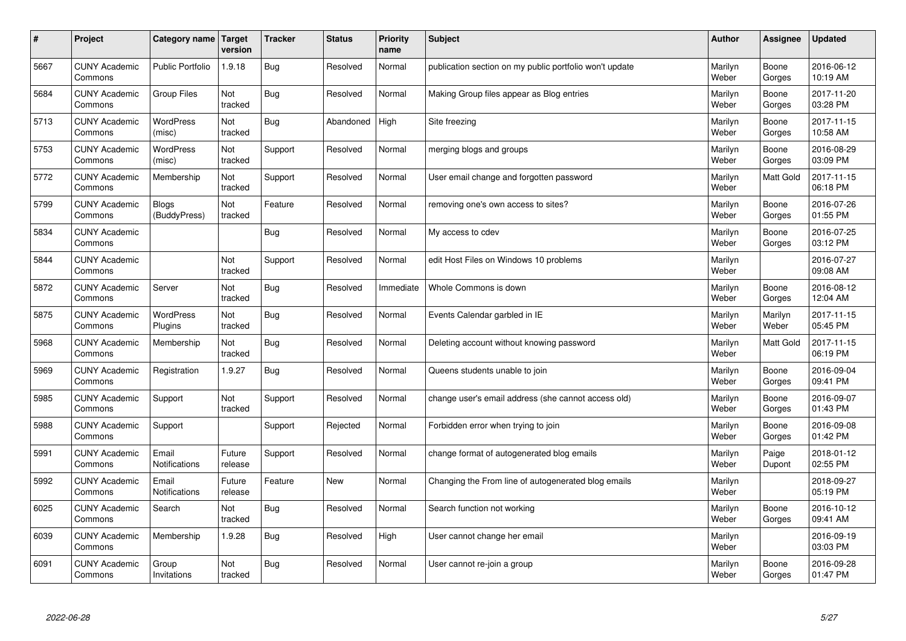| $\#$ | Project                         | Category name   Target       | version           | <b>Tracker</b> | <b>Status</b> | <b>Priority</b><br>name | <b>Subject</b>                                          | <b>Author</b>    | <b>Assignee</b>  | <b>Updated</b>         |
|------|---------------------------------|------------------------------|-------------------|----------------|---------------|-------------------------|---------------------------------------------------------|------------------|------------------|------------------------|
| 5667 | <b>CUNY Academic</b><br>Commons | <b>Public Portfolio</b>      | 1.9.18            | <b>Bug</b>     | Resolved      | Normal                  | publication section on my public portfolio won't update | Marilyn<br>Weber | Boone<br>Gorges  | 2016-06-12<br>10:19 AM |
| 5684 | <b>CUNY Academic</b><br>Commons | <b>Group Files</b>           | Not<br>tracked    | <b>Bug</b>     | Resolved      | Normal                  | Making Group files appear as Blog entries               | Marilyn<br>Weber | Boone<br>Gorges  | 2017-11-20<br>03:28 PM |
| 5713 | <b>CUNY Academic</b><br>Commons | <b>WordPress</b><br>(misc)   | Not<br>tracked    | Bug            | Abandoned     | High                    | Site freezing                                           | Marilyn<br>Weber | Boone<br>Gorges  | 2017-11-15<br>10:58 AM |
| 5753 | <b>CUNY Academic</b><br>Commons | <b>WordPress</b><br>(misc)   | Not<br>tracked    | Support        | Resolved      | Normal                  | merging blogs and groups                                | Marilyn<br>Weber | Boone<br>Gorges  | 2016-08-29<br>03:09 PM |
| 5772 | <b>CUNY Academic</b><br>Commons | Membership                   | Not<br>tracked    | Support        | Resolved      | Normal                  | User email change and forgotten password                | Marilyn<br>Weber | <b>Matt Gold</b> | 2017-11-15<br>06:18 PM |
| 5799 | <b>CUNY Academic</b><br>Commons | <b>Blogs</b><br>(BuddyPress) | Not<br>tracked    | Feature        | Resolved      | Normal                  | removing one's own access to sites?                     | Marilyn<br>Weber | Boone<br>Gorges  | 2016-07-26<br>01:55 PM |
| 5834 | <b>CUNY Academic</b><br>Commons |                              |                   | Bug            | Resolved      | Normal                  | My access to cdev                                       | Marilyn<br>Weber | Boone<br>Gorges  | 2016-07-25<br>03:12 PM |
| 5844 | <b>CUNY Academic</b><br>Commons |                              | Not<br>tracked    | Support        | Resolved      | Normal                  | edit Host Files on Windows 10 problems                  | Marilyn<br>Weber |                  | 2016-07-27<br>09:08 AM |
| 5872 | <b>CUNY Academic</b><br>Commons | Server                       | Not<br>tracked    | <b>Bug</b>     | Resolved      | Immediate               | Whole Commons is down                                   | Marilyn<br>Weber | Boone<br>Gorges  | 2016-08-12<br>12:04 AM |
| 5875 | <b>CUNY Academic</b><br>Commons | <b>WordPress</b><br>Plugins  | Not<br>tracked    | <b>Bug</b>     | Resolved      | Normal                  | Events Calendar garbled in IE                           | Marilyn<br>Weber | Marilyn<br>Weber | 2017-11-15<br>05:45 PM |
| 5968 | <b>CUNY Academic</b><br>Commons | Membership                   | Not<br>tracked    | Bug            | Resolved      | Normal                  | Deleting account without knowing password               | Marilyn<br>Weber | <b>Matt Gold</b> | 2017-11-15<br>06:19 PM |
| 5969 | <b>CUNY Academic</b><br>Commons | Registration                 | 1.9.27            | <b>Bug</b>     | Resolved      | Normal                  | Queens students unable to join                          | Marilyn<br>Weber | Boone<br>Gorges  | 2016-09-04<br>09:41 PM |
| 5985 | <b>CUNY Academic</b><br>Commons | Support                      | Not<br>tracked    | Support        | Resolved      | Normal                  | change user's email address (she cannot access old)     | Marilyn<br>Weber | Boone<br>Gorges  | 2016-09-07<br>01:43 PM |
| 5988 | <b>CUNY Academic</b><br>Commons | Support                      |                   | Support        | Rejected      | Normal                  | Forbidden error when trying to join                     | Marilyn<br>Weber | Boone<br>Gorges  | 2016-09-08<br>01:42 PM |
| 5991 | <b>CUNY Academic</b><br>Commons | Email<br>Notifications       | Future<br>release | Support        | Resolved      | Normal                  | change format of autogenerated blog emails              | Marilyn<br>Weber | Paige<br>Dupont  | 2018-01-12<br>02:55 PM |
| 5992 | <b>CUNY Academic</b><br>Commons | Email<br>Notifications       | Future<br>release | Feature        | <b>New</b>    | Normal                  | Changing the From line of autogenerated blog emails     | Marilyn<br>Weber |                  | 2018-09-27<br>05:19 PM |
| 6025 | <b>CUNY Academic</b><br>Commons | Search                       | Not<br>tracked    | Bug            | Resolved      | Normal                  | Search function not working                             | Marilyn<br>Weber | Boone<br>Gorges  | 2016-10-12<br>09:41 AM |
| 6039 | <b>CUNY Academic</b><br>Commons | Membership                   | 1.9.28            | Bug            | Resolved      | High                    | User cannot change her email                            | Marilyn<br>Weber |                  | 2016-09-19<br>03:03 PM |
| 6091 | <b>CUNY Academic</b><br>Commons | Group<br>Invitations         | Not<br>tracked    | Bug            | Resolved      | Normal                  | User cannot re-join a group                             | Marilyn<br>Weber | Boone<br>Gorges  | 2016-09-28<br>01:47 PM |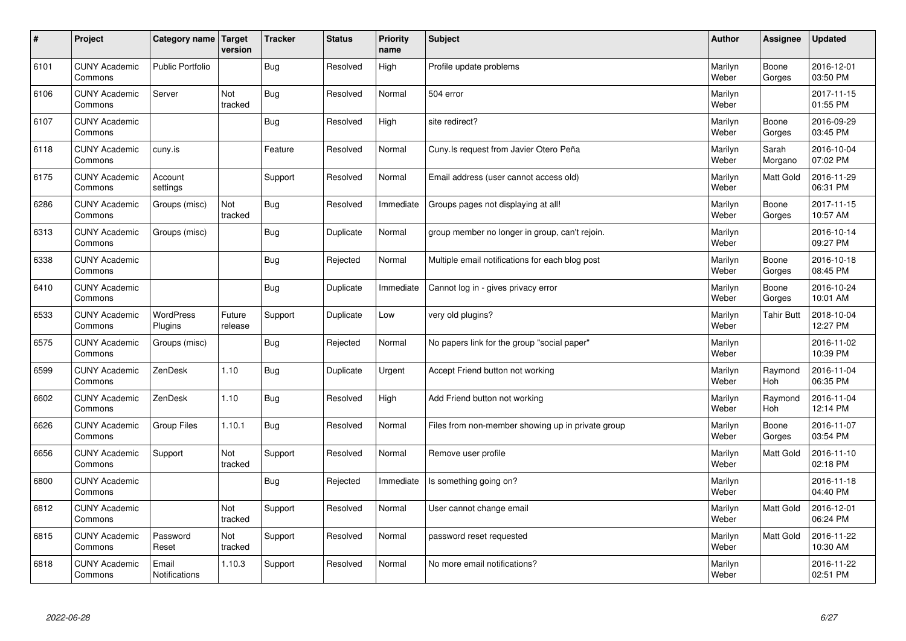| $\sharp$ | Project                         | Category name   Target        | version           | <b>Tracker</b> | <b>Status</b> | <b>Priority</b><br>name | <b>Subject</b>                                    | <b>Author</b>    | Assignee          | <b>Updated</b>         |
|----------|---------------------------------|-------------------------------|-------------------|----------------|---------------|-------------------------|---------------------------------------------------|------------------|-------------------|------------------------|
| 6101     | <b>CUNY Academic</b><br>Commons | <b>Public Portfolio</b>       |                   | Bug            | Resolved      | High                    | Profile update problems                           | Marilyn<br>Weber | Boone<br>Gorges   | 2016-12-01<br>03:50 PM |
| 6106     | <b>CUNY Academic</b><br>Commons | Server                        | Not<br>tracked    | Bug            | Resolved      | Normal                  | 504 error                                         | Marilyn<br>Weber |                   | 2017-11-15<br>01:55 PM |
| 6107     | <b>CUNY Academic</b><br>Commons |                               |                   | Bug            | Resolved      | High                    | site redirect?                                    | Marilyn<br>Weber | Boone<br>Gorges   | 2016-09-29<br>03:45 PM |
| 6118     | <b>CUNY Academic</b><br>Commons | cuny.is                       |                   | Feature        | Resolved      | Normal                  | Cuny. Is request from Javier Otero Peña           | Marilyn<br>Weber | Sarah<br>Morgano  | 2016-10-04<br>07:02 PM |
| 6175     | <b>CUNY Academic</b><br>Commons | Account<br>settings           |                   | Support        | Resolved      | Normal                  | Email address (user cannot access old)            | Marilyn<br>Weber | <b>Matt Gold</b>  | 2016-11-29<br>06:31 PM |
| 6286     | <b>CUNY Academic</b><br>Commons | Groups (misc)                 | Not<br>tracked    | Bug            | Resolved      | Immediate               | Groups pages not displaying at all!               | Marilyn<br>Weber | Boone<br>Gorges   | 2017-11-15<br>10:57 AM |
| 6313     | <b>CUNY Academic</b><br>Commons | Groups (misc)                 |                   | Bug            | Duplicate     | Normal                  | group member no longer in group, can't rejoin.    | Marilyn<br>Weber |                   | 2016-10-14<br>09:27 PM |
| 6338     | <b>CUNY Academic</b><br>Commons |                               |                   | <b>Bug</b>     | Rejected      | Normal                  | Multiple email notifications for each blog post   | Marilyn<br>Weber | Boone<br>Gorges   | 2016-10-18<br>08:45 PM |
| 6410     | <b>CUNY Academic</b><br>Commons |                               |                   | Bug            | Duplicate     | Immediate               | Cannot log in - gives privacy error               | Marilyn<br>Weber | Boone<br>Gorges   | 2016-10-24<br>10:01 AM |
| 6533     | <b>CUNY Academic</b><br>Commons | WordPress<br>Plugins          | Future<br>release | Support        | Duplicate     | Low                     | very old plugins?                                 | Marilyn<br>Weber | <b>Tahir Butt</b> | 2018-10-04<br>12:27 PM |
| 6575     | <b>CUNY Academic</b><br>Commons | Groups (misc)                 |                   | <b>Bug</b>     | Rejected      | Normal                  | No papers link for the group "social paper"       | Marilyn<br>Weber |                   | 2016-11-02<br>10:39 PM |
| 6599     | <b>CUNY Academic</b><br>Commons | ZenDesk                       | 1.10              | <b>Bug</b>     | Duplicate     | Urgent                  | Accept Friend button not working                  | Marilyn<br>Weber | Raymond<br>Hoh    | 2016-11-04<br>06:35 PM |
| 6602     | <b>CUNY Academic</b><br>Commons | ZenDesk                       | 1.10              | Bug            | Resolved      | High                    | Add Friend button not working                     | Marilyn<br>Weber | Raymond<br>Hoh    | 2016-11-04<br>12:14 PM |
| 6626     | <b>CUNY Academic</b><br>Commons | Group Files                   | 1.10.1            | Bug            | Resolved      | Normal                  | Files from non-member showing up in private group | Marilyn<br>Weber | Boone<br>Gorges   | 2016-11-07<br>03:54 PM |
| 6656     | <b>CUNY Academic</b><br>Commons | Support                       | Not<br>tracked    | Support        | Resolved      | Normal                  | Remove user profile                               | Marilyn<br>Weber | Matt Gold         | 2016-11-10<br>02:18 PM |
| 6800     | <b>CUNY Academic</b><br>Commons |                               |                   | Bug            | Rejected      | Immediate               | Is something going on?                            | Marilyn<br>Weber |                   | 2016-11-18<br>04:40 PM |
| 6812     | <b>CUNY Academic</b><br>Commons |                               | Not<br>tracked    | Support        | Resolved      | Normal                  | User cannot change email                          | Marilyn<br>Weber | Matt Gold         | 2016-12-01<br>06:24 PM |
| 6815     | <b>CUNY Academic</b><br>Commons | Password<br>Reset             | Not<br>tracked    | Support        | Resolved      | Normal                  | password reset requested                          | Marilyn<br>Weber | <b>Matt Gold</b>  | 2016-11-22<br>10:30 AM |
| 6818     | <b>CUNY Academic</b><br>Commons | Email<br><b>Notifications</b> | 1.10.3            | Support        | Resolved      | Normal                  | No more email notifications?                      | Marilyn<br>Weber |                   | 2016-11-22<br>02:51 PM |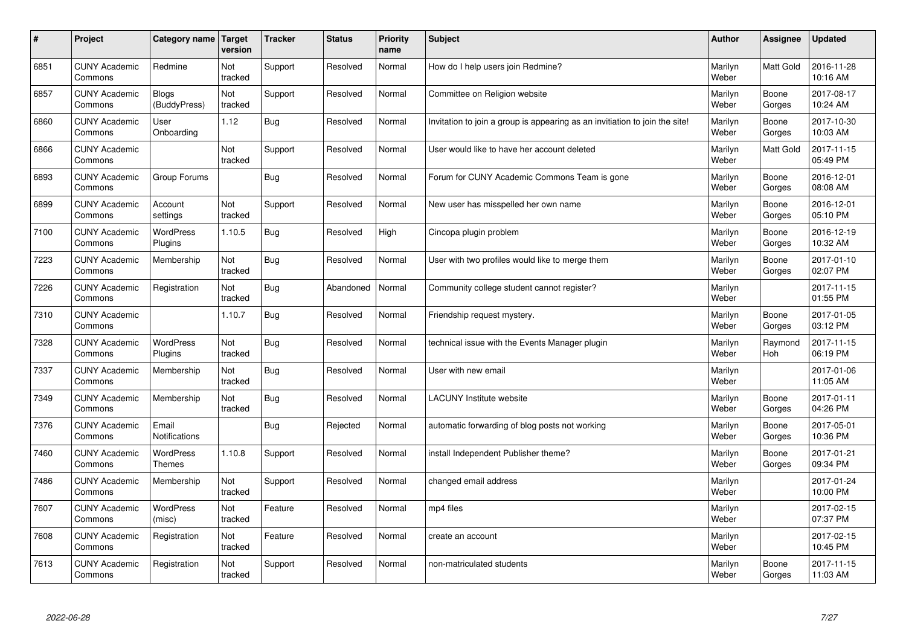| $\sharp$ | Project                         | Category name                 | Target<br>version | <b>Tracker</b> | <b>Status</b> | <b>Priority</b><br>name | <b>Subject</b>                                                              | <b>Author</b>    | <b>Assignee</b>  | <b>Updated</b>         |
|----------|---------------------------------|-------------------------------|-------------------|----------------|---------------|-------------------------|-----------------------------------------------------------------------------|------------------|------------------|------------------------|
| 6851     | <b>CUNY Academic</b><br>Commons | Redmine                       | Not<br>tracked    | Support        | Resolved      | Normal                  | How do I help users join Redmine?                                           | Marilyn<br>Weber | <b>Matt Gold</b> | 2016-11-28<br>10:16 AM |
| 6857     | <b>CUNY Academic</b><br>Commons | Blogs<br>(BuddyPress)         | Not<br>tracked    | Support        | Resolved      | Normal                  | Committee on Religion website                                               | Marilyn<br>Weber | Boone<br>Gorges  | 2017-08-17<br>10:24 AM |
| 6860     | <b>CUNY Academic</b><br>Commons | User<br>Onboarding            | 1.12              | <b>Bug</b>     | Resolved      | Normal                  | Invitation to join a group is appearing as an invitiation to join the site! | Marilyn<br>Weber | Boone<br>Gorges  | 2017-10-30<br>10:03 AM |
| 6866     | <b>CUNY Academic</b><br>Commons |                               | Not<br>tracked    | Support        | Resolved      | Normal                  | User would like to have her account deleted                                 | Marilyn<br>Weber | Matt Gold        | 2017-11-15<br>05:49 PM |
| 6893     | <b>CUNY Academic</b><br>Commons | Group Forums                  |                   | <b>Bug</b>     | Resolved      | Normal                  | Forum for CUNY Academic Commons Team is gone                                | Marilyn<br>Weber | Boone<br>Gorges  | 2016-12-01<br>08:08 AM |
| 6899     | <b>CUNY Academic</b><br>Commons | Account<br>settings           | Not<br>tracked    | Support        | Resolved      | Normal                  | New user has misspelled her own name                                        | Marilyn<br>Weber | Boone<br>Gorges  | 2016-12-01<br>05:10 PM |
| 7100     | <b>CUNY Academic</b><br>Commons | <b>WordPress</b><br>Plugins   | 1.10.5            | <b>Bug</b>     | Resolved      | High                    | Cincopa plugin problem                                                      | Marilyn<br>Weber | Boone<br>Gorges  | 2016-12-19<br>10:32 AM |
| 7223     | <b>CUNY Academic</b><br>Commons | Membership                    | Not<br>tracked    | Bug            | Resolved      | Normal                  | User with two profiles would like to merge them                             | Marilyn<br>Weber | Boone<br>Gorges  | 2017-01-10<br>02:07 PM |
| 7226     | <b>CUNY Academic</b><br>Commons | Registration                  | Not<br>tracked    | <b>Bug</b>     | Abandoned     | Normal                  | Community college student cannot register?                                  | Marilyn<br>Weber |                  | 2017-11-15<br>01:55 PM |
| 7310     | <b>CUNY Academic</b><br>Commons |                               | 1.10.7            | Bug            | Resolved      | Normal                  | Friendship request mystery.                                                 | Marilyn<br>Weber | Boone<br>Gorges  | 2017-01-05<br>03:12 PM |
| 7328     | <b>CUNY Academic</b><br>Commons | <b>WordPress</b><br>Plugins   | Not<br>tracked    | Bug            | Resolved      | Normal                  | technical issue with the Events Manager plugin                              | Marilyn<br>Weber | Raymond<br>Hoh   | 2017-11-15<br>06:19 PM |
| 7337     | <b>CUNY Academic</b><br>Commons | Membership                    | Not<br>tracked    | <b>Bug</b>     | Resolved      | Normal                  | User with new email                                                         | Marilyn<br>Weber |                  | 2017-01-06<br>11:05 AM |
| 7349     | <b>CUNY Academic</b><br>Commons | Membership                    | Not<br>tracked    | Bug            | Resolved      | Normal                  | <b>LACUNY</b> Institute website                                             | Marilyn<br>Weber | Boone<br>Gorges  | 2017-01-11<br>04:26 PM |
| 7376     | <b>CUNY Academic</b><br>Commons | Email<br><b>Notifications</b> |                   | <b>Bug</b>     | Rejected      | Normal                  | automatic forwarding of blog posts not working                              | Marilyn<br>Weber | Boone<br>Gorges  | 2017-05-01<br>10:36 PM |
| 7460     | <b>CUNY Academic</b><br>Commons | WordPress<br><b>Themes</b>    | 1.10.8            | Support        | Resolved      | Normal                  | install Independent Publisher theme?                                        | Marilyn<br>Weber | Boone<br>Gorges  | 2017-01-21<br>09:34 PM |
| 7486     | <b>CUNY Academic</b><br>Commons | Membership                    | Not<br>tracked    | Support        | Resolved      | Normal                  | changed email address                                                       | Marilyn<br>Weber |                  | 2017-01-24<br>10:00 PM |
| 7607     | <b>CUNY Academic</b><br>Commons | <b>WordPress</b><br>(misc)    | Not<br>tracked    | Feature        | Resolved      | Normal                  | mp4 files                                                                   | Marilyn<br>Weber |                  | 2017-02-15<br>07:37 PM |
| 7608     | <b>CUNY Academic</b><br>Commons | Registration                  | Not<br>tracked    | Feature        | Resolved      | Normal                  | create an account                                                           | Marilyn<br>Weber |                  | 2017-02-15<br>10:45 PM |
| 7613     | <b>CUNY Academic</b><br>Commons | Registration                  | Not<br>tracked    | Support        | Resolved      | Normal                  | non-matriculated students                                                   | Marilyn<br>Weber | Boone<br>Gorges  | 2017-11-15<br>11:03 AM |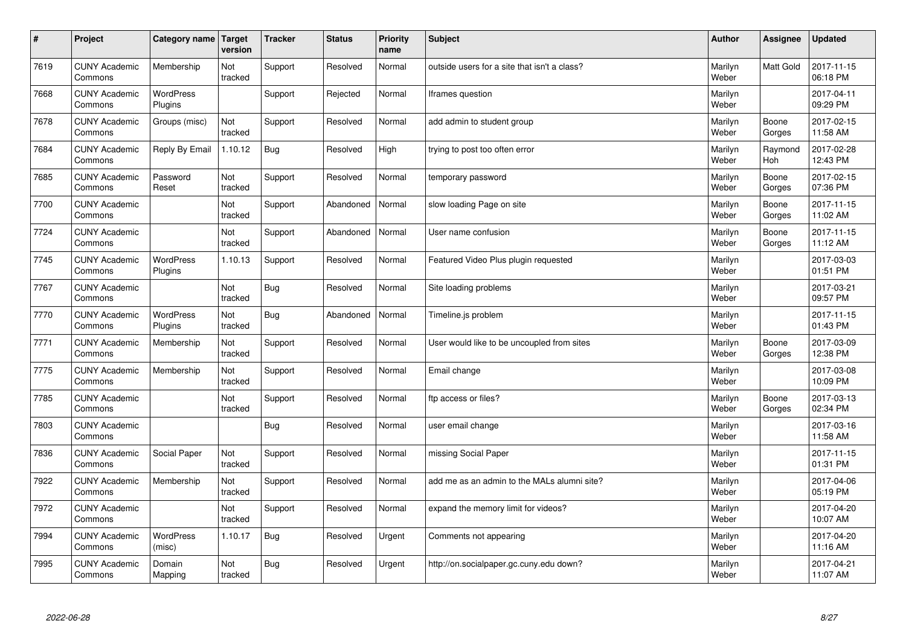| #    | Project                         | Category name   Target      | version        | <b>Tracker</b> | <b>Status</b> | <b>Priority</b><br>name | <b>Subject</b>                               | <b>Author</b>    | <b>Assignee</b>       | <b>Updated</b>         |
|------|---------------------------------|-----------------------------|----------------|----------------|---------------|-------------------------|----------------------------------------------|------------------|-----------------------|------------------------|
| 7619 | <b>CUNY Academic</b><br>Commons | Membership                  | Not<br>tracked | Support        | Resolved      | Normal                  | outside users for a site that isn't a class? | Marilyn<br>Weber | <b>Matt Gold</b>      | 2017-11-15<br>06:18 PM |
| 7668 | <b>CUNY Academic</b><br>Commons | WordPress<br>Plugins        |                | Support        | Rejected      | Normal                  | Iframes question                             | Marilyn<br>Weber |                       | 2017-04-11<br>09:29 PM |
| 7678 | <b>CUNY Academic</b><br>Commons | Groups (misc)               | Not<br>tracked | Support        | Resolved      | Normal                  | add admin to student group                   | Marilyn<br>Weber | Boone<br>Gorges       | 2017-02-15<br>11:58 AM |
| 7684 | <b>CUNY Academic</b><br>Commons | Reply By Email              | 1.10.12        | Bug            | Resolved      | High                    | trying to post too often error               | Marilyn<br>Weber | Raymond<br><b>Hoh</b> | 2017-02-28<br>12:43 PM |
| 7685 | <b>CUNY Academic</b><br>Commons | Password<br>Reset           | Not<br>tracked | Support        | Resolved      | Normal                  | temporary password                           | Marilyn<br>Weber | Boone<br>Gorges       | 2017-02-15<br>07:36 PM |
| 7700 | <b>CUNY Academic</b><br>Commons |                             | Not<br>tracked | Support        | Abandoned     | Normal                  | slow loading Page on site                    | Marilyn<br>Weber | Boone<br>Gorges       | 2017-11-15<br>11:02 AM |
| 7724 | <b>CUNY Academic</b><br>Commons |                             | Not<br>tracked | Support        | Abandoned     | Normal                  | User name confusion                          | Marilyn<br>Weber | Boone<br>Gorges       | 2017-11-15<br>11:12 AM |
| 7745 | <b>CUNY Academic</b><br>Commons | WordPress<br><b>Plugins</b> | 1.10.13        | Support        | Resolved      | Normal                  | Featured Video Plus plugin requested         | Marilyn<br>Weber |                       | 2017-03-03<br>01:51 PM |
| 7767 | <b>CUNY Academic</b><br>Commons |                             | Not<br>tracked | <b>Bug</b>     | Resolved      | Normal                  | Site loading problems                        | Marilyn<br>Weber |                       | 2017-03-21<br>09:57 PM |
| 7770 | <b>CUNY Academic</b><br>Commons | <b>WordPress</b><br>Plugins | Not<br>tracked | <b>Bug</b>     | Abandoned     | Normal                  | Timeline.js problem                          | Marilyn<br>Weber |                       | 2017-11-15<br>01:43 PM |
| 7771 | <b>CUNY Academic</b><br>Commons | Membership                  | Not<br>tracked | Support        | Resolved      | Normal                  | User would like to be uncoupled from sites   | Marilyn<br>Weber | Boone<br>Gorges       | 2017-03-09<br>12:38 PM |
| 7775 | <b>CUNY Academic</b><br>Commons | Membership                  | Not<br>tracked | Support        | Resolved      | Normal                  | Email change                                 | Marilyn<br>Weber |                       | 2017-03-08<br>10:09 PM |
| 7785 | <b>CUNY Academic</b><br>Commons |                             | Not<br>tracked | Support        | Resolved      | Normal                  | ftp access or files?                         | Marilyn<br>Weber | Boone<br>Gorges       | 2017-03-13<br>02:34 PM |
| 7803 | <b>CUNY Academic</b><br>Commons |                             |                | <b>Bug</b>     | Resolved      | Normal                  | user email change                            | Marilyn<br>Weber |                       | 2017-03-16<br>11:58 AM |
| 7836 | <b>CUNY Academic</b><br>Commons | Social Paper                | Not<br>tracked | Support        | Resolved      | Normal                  | missing Social Paper                         | Marilyn<br>Weber |                       | 2017-11-15<br>01:31 PM |
| 7922 | <b>CUNY Academic</b><br>Commons | Membership                  | Not<br>tracked | Support        | Resolved      | Normal                  | add me as an admin to the MALs alumni site?  | Marilyn<br>Weber |                       | 2017-04-06<br>05:19 PM |
| 7972 | <b>CUNY Academic</b><br>Commons |                             | Not<br>tracked | Support        | Resolved      | Normal                  | expand the memory limit for videos?          | Marilyn<br>Weber |                       | 2017-04-20<br>10:07 AM |
| 7994 | <b>CUNY Academic</b><br>Commons | <b>WordPress</b><br>(misc)  | 1.10.17        | Bug            | Resolved      | Urgent                  | Comments not appearing                       | Marilyn<br>Weber |                       | 2017-04-20<br>11:16 AM |
| 7995 | <b>CUNY Academic</b><br>Commons | Domain<br>Mapping           | Not<br>tracked | Bug            | Resolved      | Urgent                  | http://on.socialpaper.gc.cuny.edu down?      | Marilyn<br>Weber |                       | 2017-04-21<br>11:07 AM |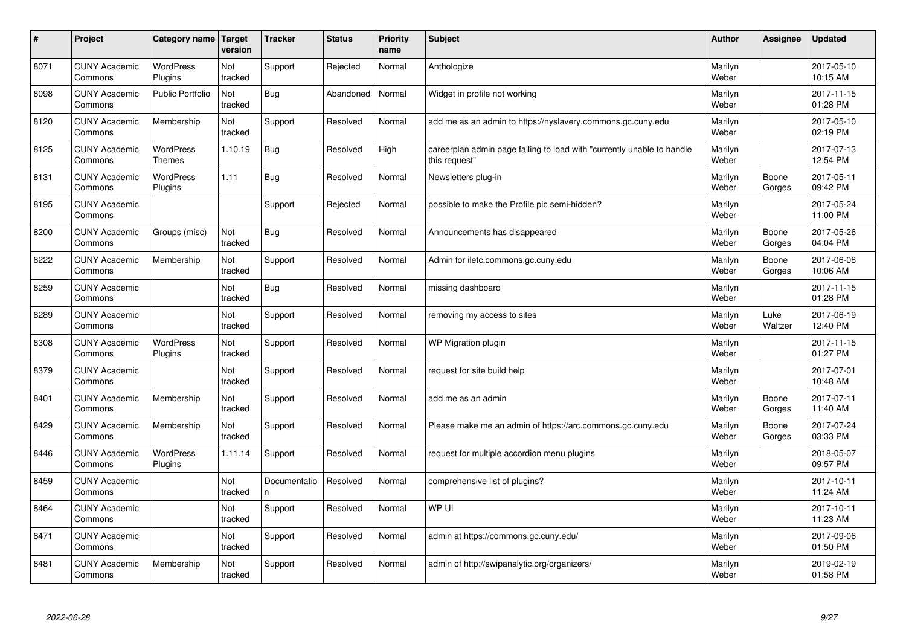| #    | Project                         | Category name                     | Target<br>version | <b>Tracker</b>     | <b>Status</b> | <b>Priority</b><br>name | <b>Subject</b>                                                                          | <b>Author</b>    | Assignee        | <b>Updated</b>         |
|------|---------------------------------|-----------------------------------|-------------------|--------------------|---------------|-------------------------|-----------------------------------------------------------------------------------------|------------------|-----------------|------------------------|
| 8071 | <b>CUNY Academic</b><br>Commons | <b>WordPress</b><br>Plugins       | Not<br>tracked    | Support            | Rejected      | Normal                  | Anthologize                                                                             | Marilyn<br>Weber |                 | 2017-05-10<br>10:15 AM |
| 8098 | <b>CUNY Academic</b><br>Commons | Public Portfolio                  | Not<br>tracked    | Bug                | Abandoned     | Normal                  | Widget in profile not working                                                           | Marilyn<br>Weber |                 | 2017-11-15<br>01:28 PM |
| 8120 | <b>CUNY Academic</b><br>Commons | Membership                        | Not<br>tracked    | Support            | Resolved      | Normal                  | add me as an admin to https://nyslavery.commons.gc.cuny.edu                             | Marilyn<br>Weber |                 | 2017-05-10<br>02:19 PM |
| 8125 | <b>CUNY Academic</b><br>Commons | <b>WordPress</b><br><b>Themes</b> | 1.10.19           | <b>Bug</b>         | Resolved      | High                    | careerplan admin page failing to load with "currently unable to handle<br>this request" | Marilyn<br>Weber |                 | 2017-07-13<br>12:54 PM |
| 8131 | <b>CUNY Academic</b><br>Commons | <b>WordPress</b><br>Plugins       | 1.11              | Bug                | Resolved      | Normal                  | Newsletters plug-in                                                                     | Marilyn<br>Weber | Boone<br>Gorges | 2017-05-11<br>09:42 PM |
| 8195 | <b>CUNY Academic</b><br>Commons |                                   |                   | Support            | Rejected      | Normal                  | possible to make the Profile pic semi-hidden?                                           | Marilyn<br>Weber |                 | 2017-05-24<br>11:00 PM |
| 8200 | <b>CUNY Academic</b><br>Commons | Groups (misc)                     | Not<br>tracked    | <b>Bug</b>         | Resolved      | Normal                  | Announcements has disappeared                                                           | Marilyn<br>Weber | Boone<br>Gorges | 2017-05-26<br>04:04 PM |
| 8222 | <b>CUNY Academic</b><br>Commons | Membership                        | Not<br>tracked    | Support            | Resolved      | Normal                  | Admin for iletc.commons.gc.cuny.edu                                                     | Marilyn<br>Weber | Boone<br>Gorges | 2017-06-08<br>10:06 AM |
| 8259 | <b>CUNY Academic</b><br>Commons |                                   | Not<br>tracked    | Bug                | Resolved      | Normal                  | missing dashboard                                                                       | Marilyn<br>Weber |                 | 2017-11-15<br>01:28 PM |
| 8289 | <b>CUNY Academic</b><br>Commons |                                   | Not<br>tracked    | Support            | Resolved      | Normal                  | removing my access to sites                                                             | Marilyn<br>Weber | Luke<br>Waltzer | 2017-06-19<br>12:40 PM |
| 8308 | <b>CUNY Academic</b><br>Commons | <b>WordPress</b><br>Plugins       | Not<br>tracked    | Support            | Resolved      | Normal                  | WP Migration plugin                                                                     | Marilyn<br>Weber |                 | 2017-11-15<br>01:27 PM |
| 8379 | <b>CUNY Academic</b><br>Commons |                                   | Not<br>tracked    | Support            | Resolved      | Normal                  | request for site build help                                                             | Marilyn<br>Weber |                 | 2017-07-01<br>10:48 AM |
| 8401 | <b>CUNY Academic</b><br>Commons | Membership                        | Not<br>tracked    | Support            | Resolved      | Normal                  | add me as an admin                                                                      | Marilyn<br>Weber | Boone<br>Gorges | 2017-07-11<br>11:40 AM |
| 8429 | <b>CUNY Academic</b><br>Commons | Membership                        | Not<br>tracked    | Support            | Resolved      | Normal                  | Please make me an admin of https://arc.commons.gc.cuny.edu                              | Marilyn<br>Weber | Boone<br>Gorges | 2017-07-24<br>03:33 PM |
| 8446 | <b>CUNY Academic</b><br>Commons | <b>WordPress</b><br>Plugins       | 1.11.14           | Support            | Resolved      | Normal                  | request for multiple accordion menu plugins                                             | Marilyn<br>Weber |                 | 2018-05-07<br>09:57 PM |
| 8459 | <b>CUNY Academic</b><br>Commons |                                   | Not<br>tracked    | Documentatio<br>n. | Resolved      | Normal                  | comprehensive list of plugins?                                                          | Marilyn<br>Weber |                 | 2017-10-11<br>11:24 AM |
| 8464 | <b>CUNY Academic</b><br>Commons |                                   | Not<br>tracked    | Support            | Resolved      | Normal                  | WP UI                                                                                   | Marilyn<br>Weber |                 | 2017-10-11<br>11:23 AM |
| 8471 | <b>CUNY Academic</b><br>Commons |                                   | Not<br>tracked    | Support            | Resolved      | Normal                  | admin at https://commons.gc.cuny.edu/                                                   | Marilyn<br>Weber |                 | 2017-09-06<br>01:50 PM |
| 8481 | <b>CUNY Academic</b><br>Commons | Membership                        | Not<br>tracked    | Support            | Resolved      | Normal                  | admin of http://swipanalytic.org/organizers/                                            | Marilyn<br>Weber |                 | 2019-02-19<br>01:58 PM |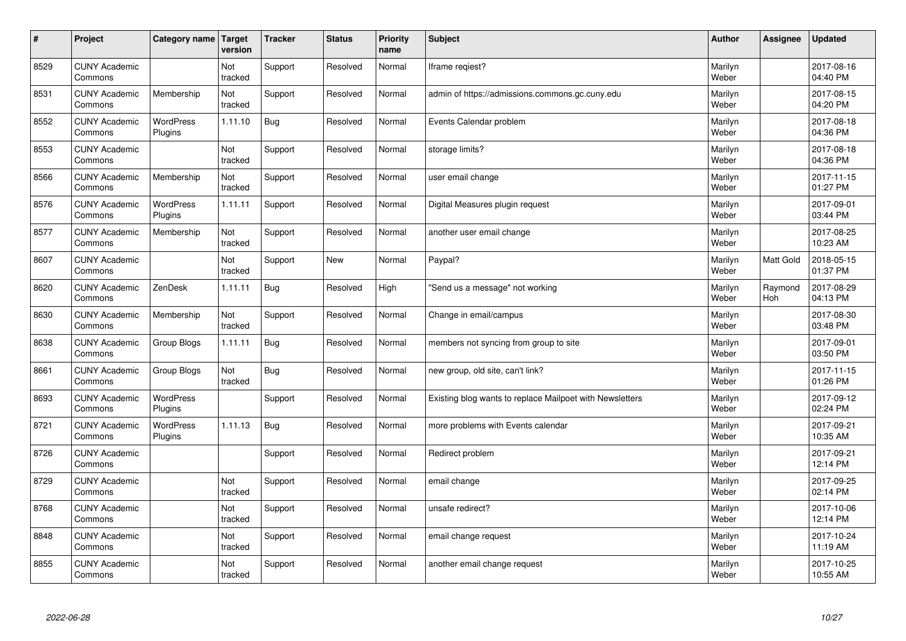| $\vert$ # | Project                         | Category name               | Target<br>version | <b>Tracker</b> | <b>Status</b> | <b>Priority</b><br>name | <b>Subject</b>                                           | <b>Author</b>    | Assignee              | <b>Updated</b>         |
|-----------|---------------------------------|-----------------------------|-------------------|----------------|---------------|-------------------------|----------------------------------------------------------|------------------|-----------------------|------------------------|
| 8529      | <b>CUNY Academic</b><br>Commons |                             | Not<br>tracked    | Support        | Resolved      | Normal                  | Iframe regiest?                                          | Marilyn<br>Weber |                       | 2017-08-16<br>04:40 PM |
| 8531      | <b>CUNY Academic</b><br>Commons | Membership                  | Not<br>tracked    | Support        | Resolved      | Normal                  | admin of https://admissions.commons.gc.cuny.edu          | Marilyn<br>Weber |                       | 2017-08-15<br>04:20 PM |
| 8552      | <b>CUNY Academic</b><br>Commons | <b>WordPress</b><br>Plugins | 1.11.10           | Bug            | Resolved      | Normal                  | Events Calendar problem                                  | Marilyn<br>Weber |                       | 2017-08-18<br>04:36 PM |
| 8553      | <b>CUNY Academic</b><br>Commons |                             | Not<br>tracked    | Support        | Resolved      | Normal                  | storage limits?                                          | Marilyn<br>Weber |                       | 2017-08-18<br>04:36 PM |
| 8566      | <b>CUNY Academic</b><br>Commons | Membership                  | Not<br>tracked    | Support        | Resolved      | Normal                  | user email change                                        | Marilyn<br>Weber |                       | 2017-11-15<br>01:27 PM |
| 8576      | <b>CUNY Academic</b><br>Commons | WordPress<br>Plugins        | 1.11.11           | Support        | Resolved      | Normal                  | Digital Measures plugin request                          | Marilyn<br>Weber |                       | 2017-09-01<br>03:44 PM |
| 8577      | <b>CUNY Academic</b><br>Commons | Membership                  | Not<br>tracked    | Support        | Resolved      | Normal                  | another user email change                                | Marilyn<br>Weber |                       | 2017-08-25<br>10:23 AM |
| 8607      | <b>CUNY Academic</b><br>Commons |                             | Not<br>tracked    | Support        | <b>New</b>    | Normal                  | Paypal?                                                  | Marilyn<br>Weber | <b>Matt Gold</b>      | 2018-05-15<br>01:37 PM |
| 8620      | <b>CUNY Academic</b><br>Commons | ZenDesk                     | 1.11.11           | Bug            | Resolved      | High                    | 'Send us a message" not working                          | Marilyn<br>Weber | Raymond<br><b>Hoh</b> | 2017-08-29<br>04:13 PM |
| 8630      | <b>CUNY Academic</b><br>Commons | Membership                  | Not<br>tracked    | Support        | Resolved      | Normal                  | Change in email/campus                                   | Marilyn<br>Weber |                       | 2017-08-30<br>03:48 PM |
| 8638      | <b>CUNY Academic</b><br>Commons | Group Blogs                 | 1.11.11           | Bug            | Resolved      | Normal                  | members not syncing from group to site                   | Marilyn<br>Weber |                       | 2017-09-01<br>03:50 PM |
| 8661      | <b>CUNY Academic</b><br>Commons | Group Blogs                 | Not<br>tracked    | Bug            | Resolved      | Normal                  | new group, old site, can't link?                         | Marilyn<br>Weber |                       | 2017-11-15<br>01:26 PM |
| 8693      | <b>CUNY Academic</b><br>Commons | WordPress<br>Plugins        |                   | Support        | Resolved      | Normal                  | Existing blog wants to replace Mailpoet with Newsletters | Marilyn<br>Weber |                       | 2017-09-12<br>02:24 PM |
| 8721      | <b>CUNY Academic</b><br>Commons | <b>WordPress</b><br>Plugins | 1.11.13           | Bug            | Resolved      | Normal                  | more problems with Events calendar                       | Marilyn<br>Weber |                       | 2017-09-21<br>10:35 AM |
| 8726      | <b>CUNY Academic</b><br>Commons |                             |                   | Support        | Resolved      | Normal                  | Redirect problem                                         | Marilyn<br>Weber |                       | 2017-09-21<br>12:14 PM |
| 8729      | <b>CUNY Academic</b><br>Commons |                             | Not<br>tracked    | Support        | Resolved      | Normal                  | email change                                             | Marilyn<br>Weber |                       | 2017-09-25<br>02:14 PM |
| 8768      | <b>CUNY Academic</b><br>Commons |                             | Not<br>tracked    | Support        | Resolved      | Normal                  | unsafe redirect?                                         | Marilyn<br>Weber |                       | 2017-10-06<br>12:14 PM |
| 8848      | <b>CUNY Academic</b><br>Commons |                             | Not<br>tracked    | Support        | Resolved      | Normal                  | email change request                                     | Marilyn<br>Weber |                       | 2017-10-24<br>11:19 AM |
| 8855      | <b>CUNY Academic</b><br>Commons |                             | Not<br>tracked    | Support        | Resolved      | Normal                  | another email change request                             | Marilyn<br>Weber |                       | 2017-10-25<br>10:55 AM |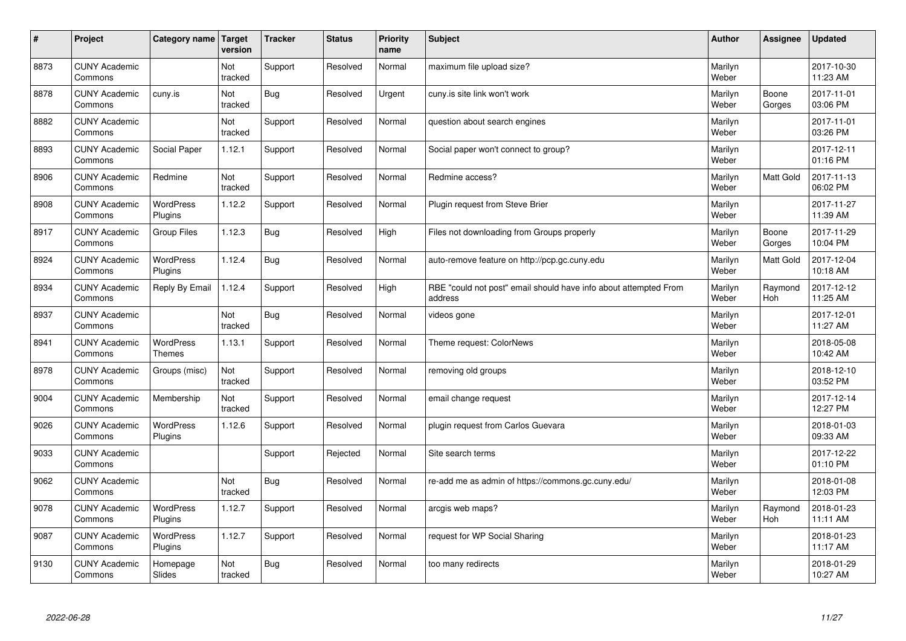| $\sharp$ | Project                         | Category name   Target             | version        | <b>Tracker</b> | <b>Status</b> | <b>Priority</b><br>name | <b>Subject</b>                                                              | <b>Author</b>    | Assignee         | <b>Updated</b>         |
|----------|---------------------------------|------------------------------------|----------------|----------------|---------------|-------------------------|-----------------------------------------------------------------------------|------------------|------------------|------------------------|
| 8873     | <b>CUNY Academic</b><br>Commons |                                    | Not<br>tracked | Support        | Resolved      | Normal                  | maximum file upload size?                                                   | Marilyn<br>Weber |                  | 2017-10-30<br>11:23 AM |
| 8878     | <b>CUNY Academic</b><br>Commons | cuny.is                            | Not<br>tracked | <b>Bug</b>     | Resolved      | Urgent                  | cuny.is site link won't work                                                | Marilyn<br>Weber | Boone<br>Gorges  | 2017-11-01<br>03:06 PM |
| 8882     | <b>CUNY Academic</b><br>Commons |                                    | Not<br>tracked | Support        | Resolved      | Normal                  | question about search engines                                               | Marilyn<br>Weber |                  | 2017-11-01<br>03:26 PM |
| 8893     | <b>CUNY Academic</b><br>Commons | Social Paper                       | 1.12.1         | Support        | Resolved      | Normal                  | Social paper won't connect to group?                                        | Marilyn<br>Weber |                  | 2017-12-11<br>01:16 PM |
| 8906     | <b>CUNY Academic</b><br>Commons | Redmine                            | Not<br>tracked | Support        | Resolved      | Normal                  | Redmine access?                                                             | Marilyn<br>Weber | <b>Matt Gold</b> | 2017-11-13<br>06:02 PM |
| 8908     | <b>CUNY Academic</b><br>Commons | <b>WordPress</b><br><b>Plugins</b> | 1.12.2         | Support        | Resolved      | Normal                  | Plugin request from Steve Brier                                             | Marilyn<br>Weber |                  | 2017-11-27<br>11:39 AM |
| 8917     | <b>CUNY Academic</b><br>Commons | <b>Group Files</b>                 | 1.12.3         | Bug            | Resolved      | High                    | Files not downloading from Groups properly                                  | Marilyn<br>Weber | Boone<br>Gorges  | 2017-11-29<br>10:04 PM |
| 8924     | <b>CUNY Academic</b><br>Commons | WordPress<br>Plugins               | 1.12.4         | Bug            | Resolved      | Normal                  | auto-remove feature on http://pcp.gc.cuny.edu                               | Marilyn<br>Weber | Matt Gold        | 2017-12-04<br>10:18 AM |
| 8934     | <b>CUNY Academic</b><br>Commons | Reply By Email                     | 1.12.4         | Support        | Resolved      | High                    | RBE "could not post" email should have info about attempted From<br>address | Marilyn<br>Weber | Raymond<br>Hoh   | 2017-12-12<br>11:25 AM |
| 8937     | <b>CUNY Academic</b><br>Commons |                                    | Not<br>tracked | <b>Bug</b>     | Resolved      | Normal                  | videos gone                                                                 | Marilyn<br>Weber |                  | 2017-12-01<br>11:27 AM |
| 8941     | <b>CUNY Academic</b><br>Commons | <b>WordPress</b><br><b>Themes</b>  | 1.13.1         | Support        | Resolved      | Normal                  | Theme request: ColorNews                                                    | Marilyn<br>Weber |                  | 2018-05-08<br>10:42 AM |
| 8978     | <b>CUNY Academic</b><br>Commons | Groups (misc)                      | Not<br>tracked | Support        | Resolved      | Normal                  | removing old groups                                                         | Marilyn<br>Weber |                  | 2018-12-10<br>03:52 PM |
| 9004     | <b>CUNY Academic</b><br>Commons | Membership                         | Not<br>tracked | Support        | Resolved      | Normal                  | email change request                                                        | Marilyn<br>Weber |                  | 2017-12-14<br>12:27 PM |
| 9026     | <b>CUNY Academic</b><br>Commons | WordPress<br>Plugins               | 1.12.6         | Support        | Resolved      | Normal                  | plugin request from Carlos Guevara                                          | Marilyn<br>Weber |                  | 2018-01-03<br>09:33 AM |
| 9033     | <b>CUNY Academic</b><br>Commons |                                    |                | Support        | Rejected      | Normal                  | Site search terms                                                           | Marilyn<br>Weber |                  | 2017-12-22<br>01:10 PM |
| 9062     | <b>CUNY Academic</b><br>Commons |                                    | Not<br>tracked | Bug            | Resolved      | Normal                  | re-add me as admin of https://commons.gc.cuny.edu/                          | Marilyn<br>Weber |                  | 2018-01-08<br>12:03 PM |
| 9078     | <b>CUNY Academic</b><br>Commons | WordPress<br>Plugins               | 1.12.7         | Support        | Resolved      | Normal                  | arcgis web maps?                                                            | Marilyn<br>Weber | Raymond<br>Hoh   | 2018-01-23<br>11:11 AM |
| 9087     | <b>CUNY Academic</b><br>Commons | <b>WordPress</b><br>Plugins        | 1.12.7         | Support        | Resolved      | Normal                  | request for WP Social Sharing                                               | Marilyn<br>Weber |                  | 2018-01-23<br>11:17 AM |
| 9130     | <b>CUNY Academic</b><br>Commons | Homepage<br>Slides                 | Not<br>tracked | Bug            | Resolved      | Normal                  | too many redirects                                                          | Marilyn<br>Weber |                  | 2018-01-29<br>10:27 AM |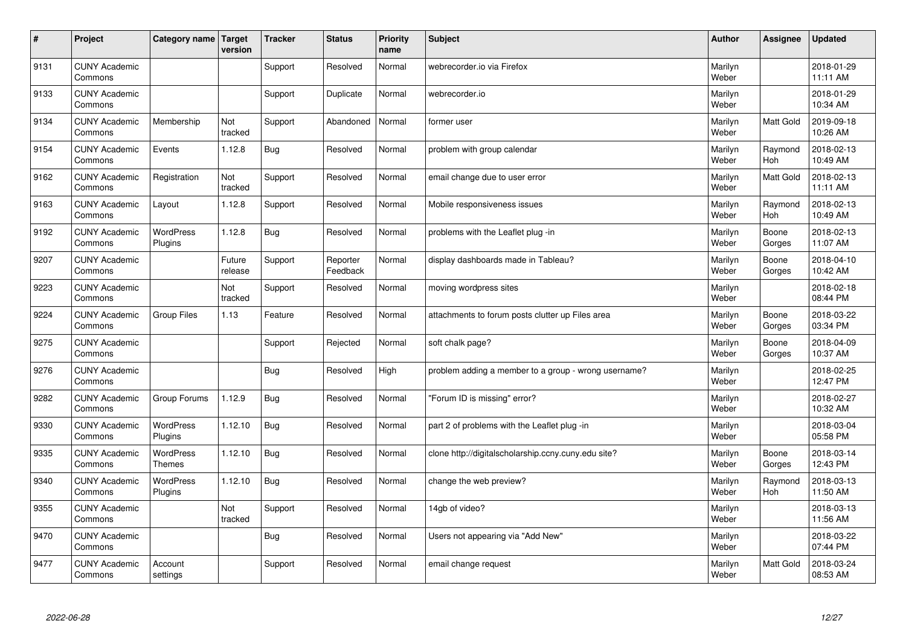| $\sharp$ | Project                         | Category name   Target      | version           | <b>Tracker</b> | <b>Status</b>        | <b>Priority</b><br>name | <b>Subject</b>                                       | <b>Author</b>    | Assignee              | <b>Updated</b>         |
|----------|---------------------------------|-----------------------------|-------------------|----------------|----------------------|-------------------------|------------------------------------------------------|------------------|-----------------------|------------------------|
| 9131     | <b>CUNY Academic</b><br>Commons |                             |                   | Support        | Resolved             | Normal                  | webrecorder.jo via Firefox                           | Marilyn<br>Weber |                       | 2018-01-29<br>11:11 AM |
| 9133     | <b>CUNY Academic</b><br>Commons |                             |                   | Support        | Duplicate            | Normal                  | webrecorder.io                                       | Marilyn<br>Weber |                       | 2018-01-29<br>10:34 AM |
| 9134     | <b>CUNY Academic</b><br>Commons | Membership                  | Not<br>tracked    | Support        | Abandoned            | Normal                  | former user                                          | Marilyn<br>Weber | Matt Gold             | 2019-09-18<br>10:26 AM |
| 9154     | <b>CUNY Academic</b><br>Commons | Events                      | 1.12.8            | Bug            | Resolved             | Normal                  | problem with group calendar                          | Marilyn<br>Weber | Raymond<br>Hoh        | 2018-02-13<br>10:49 AM |
| 9162     | <b>CUNY Academic</b><br>Commons | Registration                | Not<br>tracked    | Support        | Resolved             | Normal                  | email change due to user error                       | Marilyn<br>Weber | <b>Matt Gold</b>      | 2018-02-13<br>11:11 AM |
| 9163     | <b>CUNY Academic</b><br>Commons | Layout                      | 1.12.8            | Support        | Resolved             | Normal                  | Mobile responsiveness issues                         | Marilyn<br>Weber | Raymond<br>Hoh        | 2018-02-13<br>10:49 AM |
| 9192     | <b>CUNY Academic</b><br>Commons | <b>WordPress</b><br>Plugins | 1.12.8            | Bug            | Resolved             | Normal                  | problems with the Leaflet plug -in                   | Marilyn<br>Weber | Boone<br>Gorges       | 2018-02-13<br>11:07 AM |
| 9207     | <b>CUNY Academic</b><br>Commons |                             | Future<br>release | Support        | Reporter<br>Feedback | Normal                  | display dashboards made in Tableau?                  | Marilyn<br>Weber | Boone<br>Gorges       | 2018-04-10<br>10:42 AM |
| 9223     | <b>CUNY Academic</b><br>Commons |                             | Not<br>tracked    | Support        | Resolved             | Normal                  | moving wordpress sites                               | Marilyn<br>Weber |                       | 2018-02-18<br>08:44 PM |
| 9224     | <b>CUNY Academic</b><br>Commons | <b>Group Files</b>          | 1.13              | Feature        | Resolved             | Normal                  | attachments to forum posts clutter up Files area     | Marilyn<br>Weber | Boone<br>Gorges       | 2018-03-22<br>03:34 PM |
| 9275     | <b>CUNY Academic</b><br>Commons |                             |                   | Support        | Rejected             | Normal                  | soft chalk page?                                     | Marilyn<br>Weber | Boone<br>Gorges       | 2018-04-09<br>10:37 AM |
| 9276     | <b>CUNY Academic</b><br>Commons |                             |                   | Bug            | Resolved             | High                    | problem adding a member to a group - wrong username? | Marilyn<br>Weber |                       | 2018-02-25<br>12:47 PM |
| 9282     | <b>CUNY Academic</b><br>Commons | Group Forums                | 1.12.9            | Bug            | Resolved             | Normal                  | 'Forum ID is missing" error?                         | Marilyn<br>Weber |                       | 2018-02-27<br>10:32 AM |
| 9330     | <b>CUNY Academic</b><br>Commons | WordPress<br>Plugins        | 1.12.10           | Bug            | Resolved             | Normal                  | part 2 of problems with the Leaflet plug -in         | Marilyn<br>Weber |                       | 2018-03-04<br>05:58 PM |
| 9335     | <b>CUNY Academic</b><br>Commons | WordPress<br><b>Themes</b>  | 1.12.10           | Bug            | Resolved             | Normal                  | clone http://digitalscholarship.ccny.cuny.edu site?  | Marilyn<br>Weber | Boone<br>Gorges       | 2018-03-14<br>12:43 PM |
| 9340     | <b>CUNY Academic</b><br>Commons | <b>WordPress</b><br>Plugins | 1.12.10           | Bug            | Resolved             | Normal                  | change the web preview?                              | Marilyn<br>Weber | Raymond<br><b>Hoh</b> | 2018-03-13<br>11:50 AM |
| 9355     | <b>CUNY Academic</b><br>Commons |                             | Not<br>tracked    | Support        | Resolved             | Normal                  | 14gb of video?                                       | Marilyn<br>Weber |                       | 2018-03-13<br>11:56 AM |
| 9470     | <b>CUNY Academic</b><br>Commons |                             |                   | Bug            | Resolved             | Normal                  | Users not appearing via "Add New"                    | Marilyn<br>Weber |                       | 2018-03-22<br>07:44 PM |
| 9477     | <b>CUNY Academic</b><br>Commons | Account<br>settings         |                   | Support        | Resolved             | Normal                  | email change request                                 | Marilyn<br>Weber | <b>Matt Gold</b>      | 2018-03-24<br>08:53 AM |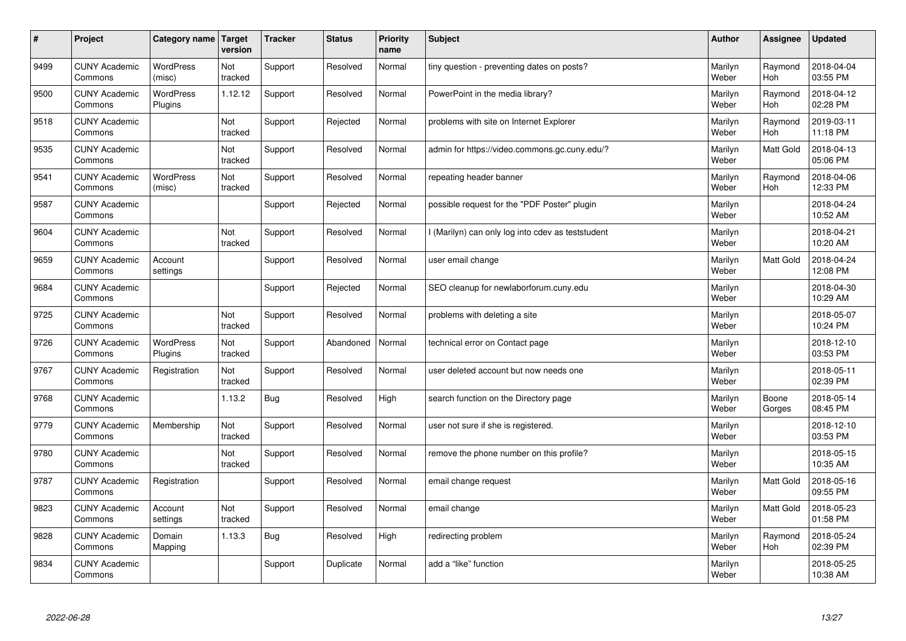| #    | Project                         | Category name   Target      | version        | <b>Tracker</b> | <b>Status</b> | <b>Priority</b><br>name | <b>Subject</b>                                    | <b>Author</b>    | <b>Assignee</b>       | <b>Updated</b>         |
|------|---------------------------------|-----------------------------|----------------|----------------|---------------|-------------------------|---------------------------------------------------|------------------|-----------------------|------------------------|
| 9499 | <b>CUNY Academic</b><br>Commons | <b>WordPress</b><br>(misc)  | Not<br>tracked | Support        | Resolved      | Normal                  | tiny question - preventing dates on posts?        | Marilyn<br>Weber | Raymond<br><b>Hoh</b> | 2018-04-04<br>03:55 PM |
| 9500 | <b>CUNY Academic</b><br>Commons | <b>WordPress</b><br>Plugins | 1.12.12        | Support        | Resolved      | Normal                  | PowerPoint in the media library?                  | Marilyn<br>Weber | Raymond<br>Hoh        | 2018-04-12<br>02:28 PM |
| 9518 | <b>CUNY Academic</b><br>Commons |                             | Not<br>tracked | Support        | Rejected      | Normal                  | problems with site on Internet Explorer           | Marilyn<br>Weber | Raymond<br><b>Hoh</b> | 2019-03-11<br>11:18 PM |
| 9535 | <b>CUNY Academic</b><br>Commons |                             | Not<br>tracked | Support        | Resolved      | Normal                  | admin for https://video.commons.gc.cuny.edu/?     | Marilyn<br>Weber | Matt Gold             | 2018-04-13<br>05:06 PM |
| 9541 | <b>CUNY Academic</b><br>Commons | <b>WordPress</b><br>(misc)  | Not<br>tracked | Support        | Resolved      | Normal                  | repeating header banner                           | Marilyn<br>Weber | Raymond<br><b>Hoh</b> | 2018-04-06<br>12:33 PM |
| 9587 | <b>CUNY Academic</b><br>Commons |                             |                | Support        | Rejected      | Normal                  | possible request for the "PDF Poster" plugin      | Marilyn<br>Weber |                       | 2018-04-24<br>10:52 AM |
| 9604 | <b>CUNY Academic</b><br>Commons |                             | Not<br>tracked | Support        | Resolved      | Normal                  | I (Marilyn) can only log into cdev as teststudent | Marilyn<br>Weber |                       | 2018-04-21<br>10:20 AM |
| 9659 | <b>CUNY Academic</b><br>Commons | Account<br>settings         |                | Support        | Resolved      | Normal                  | user email change                                 | Marilyn<br>Weber | Matt Gold             | 2018-04-24<br>12:08 PM |
| 9684 | <b>CUNY Academic</b><br>Commons |                             |                | Support        | Rejected      | Normal                  | SEO cleanup for newlaborforum.cuny.edu            | Marilyn<br>Weber |                       | 2018-04-30<br>10:29 AM |
| 9725 | <b>CUNY Academic</b><br>Commons |                             | Not<br>tracked | Support        | Resolved      | Normal                  | problems with deleting a site                     | Marilyn<br>Weber |                       | 2018-05-07<br>10:24 PM |
| 9726 | <b>CUNY Academic</b><br>Commons | <b>WordPress</b><br>Plugins | Not<br>tracked | Support        | Abandoned     | Normal                  | technical error on Contact page                   | Marilyn<br>Weber |                       | 2018-12-10<br>03:53 PM |
| 9767 | <b>CUNY Academic</b><br>Commons | Registration                | Not<br>tracked | Support        | Resolved      | Normal                  | user deleted account but now needs one            | Marilyn<br>Weber |                       | 2018-05-11<br>02:39 PM |
| 9768 | <b>CUNY Academic</b><br>Commons |                             | 1.13.2         | <b>Bug</b>     | Resolved      | High                    | search function on the Directory page             | Marilyn<br>Weber | Boone<br>Gorges       | 2018-05-14<br>08:45 PM |
| 9779 | <b>CUNY Academic</b><br>Commons | Membership                  | Not<br>tracked | Support        | Resolved      | Normal                  | user not sure if she is registered.               | Marilyn<br>Weber |                       | 2018-12-10<br>03:53 PM |
| 9780 | <b>CUNY Academic</b><br>Commons |                             | Not<br>tracked | Support        | Resolved      | Normal                  | remove the phone number on this profile?          | Marilyn<br>Weber |                       | 2018-05-15<br>10:35 AM |
| 9787 | <b>CUNY Academic</b><br>Commons | Registration                |                | Support        | Resolved      | Normal                  | email change request                              | Marilyn<br>Weber | Matt Gold             | 2018-05-16<br>09:55 PM |
| 9823 | <b>CUNY Academic</b><br>Commons | Account<br>settings         | Not<br>tracked | Support        | Resolved      | Normal                  | email change                                      | Marilyn<br>Weber | Matt Gold             | 2018-05-23<br>01:58 PM |
| 9828 | <b>CUNY Academic</b><br>Commons | Domain<br>Mapping           | 1.13.3         | Bug            | Resolved      | High                    | redirecting problem                               | Marilyn<br>Weber | Raymond<br><b>Hoh</b> | 2018-05-24<br>02:39 PM |
| 9834 | <b>CUNY Academic</b><br>Commons |                             |                | Support        | Duplicate     | Normal                  | add a "like" function                             | Marilyn<br>Weber |                       | 2018-05-25<br>10:38 AM |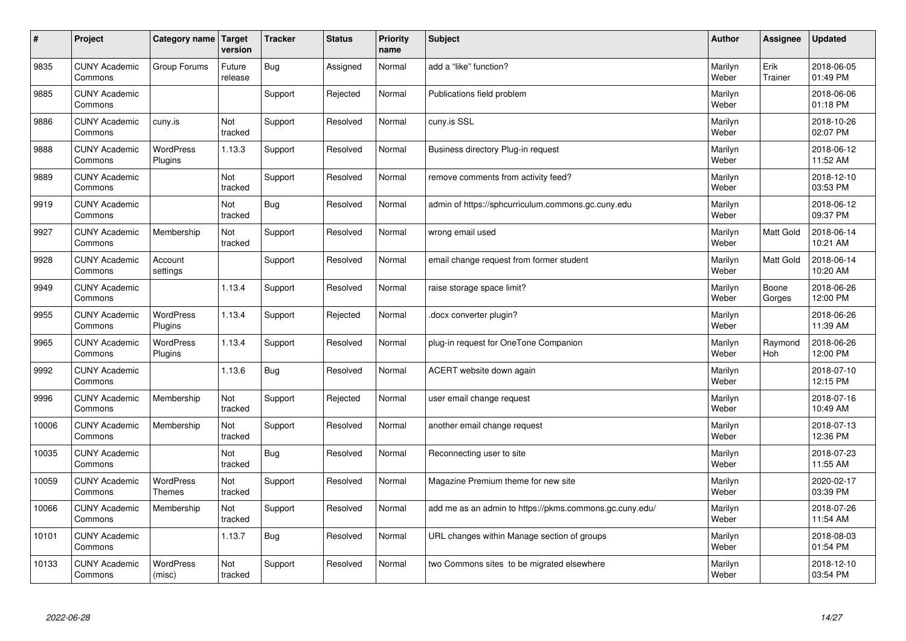| $\vert$ # | Project                         | Category name                     | Target<br>version | <b>Tracker</b> | <b>Status</b> | <b>Priority</b><br>name | <b>Subject</b>                                          | <b>Author</b>    | Assignee         | <b>Updated</b>         |
|-----------|---------------------------------|-----------------------------------|-------------------|----------------|---------------|-------------------------|---------------------------------------------------------|------------------|------------------|------------------------|
| 9835      | <b>CUNY Academic</b><br>Commons | Group Forums                      | Future<br>release | <b>Bug</b>     | Assigned      | Normal                  | add a "like" function?                                  | Marilyn<br>Weber | Erik<br>Trainer  | 2018-06-05<br>01:49 PM |
| 9885      | <b>CUNY Academic</b><br>Commons |                                   |                   | Support        | Rejected      | Normal                  | Publications field problem                              | Marilyn<br>Weber |                  | 2018-06-06<br>01:18 PM |
| 9886      | <b>CUNY Academic</b><br>Commons | cuny.is                           | Not<br>tracked    | Support        | Resolved      | Normal                  | cuny.is SSL                                             | Marilyn<br>Weber |                  | 2018-10-26<br>02:07 PM |
| 9888      | <b>CUNY Academic</b><br>Commons | <b>WordPress</b><br>Plugins       | 1.13.3            | Support        | Resolved      | Normal                  | Business directory Plug-in request                      | Marilyn<br>Weber |                  | 2018-06-12<br>11:52 AM |
| 9889      | <b>CUNY Academic</b><br>Commons |                                   | Not<br>tracked    | Support        | Resolved      | Normal                  | remove comments from activity feed?                     | Marilyn<br>Weber |                  | 2018-12-10<br>03:53 PM |
| 9919      | <b>CUNY Academic</b><br>Commons |                                   | Not<br>tracked    | Bug            | Resolved      | Normal                  | admin of https://sphcurriculum.commons.gc.cuny.edu      | Marilyn<br>Weber |                  | 2018-06-12<br>09:37 PM |
| 9927      | <b>CUNY Academic</b><br>Commons | Membership                        | Not<br>tracked    | Support        | Resolved      | Normal                  | wrong email used                                        | Marilyn<br>Weber | Matt Gold        | 2018-06-14<br>10:21 AM |
| 9928      | <b>CUNY Academic</b><br>Commons | Account<br>settings               |                   | Support        | Resolved      | Normal                  | email change request from former student                | Marilyn<br>Weber | <b>Matt Gold</b> | 2018-06-14<br>10:20 AM |
| 9949      | <b>CUNY Academic</b><br>Commons |                                   | 1.13.4            | Support        | Resolved      | Normal                  | raise storage space limit?                              | Marilyn<br>Weber | Boone<br>Gorges  | 2018-06-26<br>12:00 PM |
| 9955      | <b>CUNY Academic</b><br>Commons | WordPress<br>Plugins              | 1.13.4            | Support        | Rejected      | Normal                  | docx converter plugin?                                  | Marilyn<br>Weber |                  | 2018-06-26<br>11:39 AM |
| 9965      | <b>CUNY Academic</b><br>Commons | <b>WordPress</b><br>Plugins       | 1.13.4            | Support        | Resolved      | Normal                  | plug-in request for OneTone Companion                   | Marilyn<br>Weber | Raymond<br>Hoh   | 2018-06-26<br>12:00 PM |
| 9992      | <b>CUNY Academic</b><br>Commons |                                   | 1.13.6            | Bug            | Resolved      | Normal                  | ACERT website down again                                | Marilyn<br>Weber |                  | 2018-07-10<br>12:15 PM |
| 9996      | <b>CUNY Academic</b><br>Commons | Membership                        | Not<br>tracked    | Support        | Rejected      | Normal                  | user email change request                               | Marilyn<br>Weber |                  | 2018-07-16<br>10:49 AM |
| 10006     | <b>CUNY Academic</b><br>Commons | Membership                        | Not<br>tracked    | Support        | Resolved      | Normal                  | another email change request                            | Marilyn<br>Weber |                  | 2018-07-13<br>12:36 PM |
| 10035     | <b>CUNY Academic</b><br>Commons |                                   | Not<br>tracked    | Bug            | Resolved      | Normal                  | Reconnecting user to site                               | Marilyn<br>Weber |                  | 2018-07-23<br>11:55 AM |
| 10059     | <b>CUNY Academic</b><br>Commons | <b>WordPress</b><br><b>Themes</b> | Not<br>tracked    | Support        | Resolved      | Normal                  | Magazine Premium theme for new site                     | Marilyn<br>Weber |                  | 2020-02-17<br>03:39 PM |
| 10066     | <b>CUNY Academic</b><br>Commons | Membership                        | Not<br>tracked    | Support        | Resolved      | Normal                  | add me as an admin to https://pkms.commons.gc.cuny.edu/ | Marilyn<br>Weber |                  | 2018-07-26<br>11:54 AM |
| 10101     | <b>CUNY Academic</b><br>Commons |                                   | 1.13.7            | <b>Bug</b>     | Resolved      | Normal                  | URL changes within Manage section of groups             | Marilyn<br>Weber |                  | 2018-08-03<br>01:54 PM |
| 10133     | <b>CUNY Academic</b><br>Commons | <b>WordPress</b><br>(misc)        | Not<br>tracked    | Support        | Resolved      | Normal                  | two Commons sites to be migrated elsewhere              | Marilyn<br>Weber |                  | 2018-12-10<br>03:54 PM |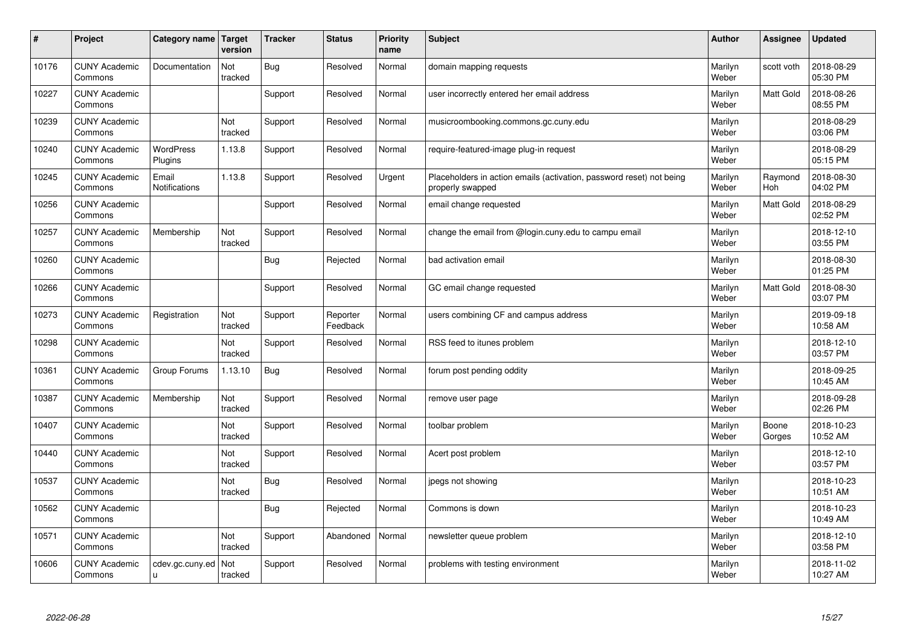| #     | Project                         | Category name                 | Target<br>version | <b>Tracker</b> | <b>Status</b>        | <b>Priority</b><br>name | <b>Subject</b>                                                                           | <b>Author</b>    | Assignee        | <b>Updated</b>         |
|-------|---------------------------------|-------------------------------|-------------------|----------------|----------------------|-------------------------|------------------------------------------------------------------------------------------|------------------|-----------------|------------------------|
| 10176 | <b>CUNY Academic</b><br>Commons | Documentation                 | Not<br>tracked    | <b>Bug</b>     | Resolved             | Normal                  | domain mapping requests                                                                  | Marilyn<br>Weber | scott voth      | 2018-08-29<br>05:30 PM |
| 10227 | <b>CUNY Academic</b><br>Commons |                               |                   | Support        | Resolved             | Normal                  | user incorrectly entered her email address                                               | Marilyn<br>Weber | Matt Gold       | 2018-08-26<br>08:55 PM |
| 10239 | <b>CUNY Academic</b><br>Commons |                               | Not<br>tracked    | Support        | Resolved             | Normal                  | musicroombooking.commons.gc.cuny.edu                                                     | Marilyn<br>Weber |                 | 2018-08-29<br>03:06 PM |
| 10240 | <b>CUNY Academic</b><br>Commons | <b>WordPress</b><br>Plugins   | 1.13.8            | Support        | Resolved             | Normal                  | require-featured-image plug-in request                                                   | Marilyn<br>Weber |                 | 2018-08-29<br>05:15 PM |
| 10245 | <b>CUNY Academic</b><br>Commons | Email<br><b>Notifications</b> | 1.13.8            | Support        | Resolved             | Urgent                  | Placeholders in action emails (activation, password reset) not being<br>properly swapped | Marilyn<br>Weber | Raymond<br>Hoh  | 2018-08-30<br>04:02 PM |
| 10256 | <b>CUNY Academic</b><br>Commons |                               |                   | Support        | Resolved             | Normal                  | email change requested                                                                   | Marilyn<br>Weber | Matt Gold       | 2018-08-29<br>02:52 PM |
| 10257 | <b>CUNY Academic</b><br>Commons | Membership                    | Not<br>tracked    | Support        | Resolved             | Normal                  | change the email from @login.cuny.edu to campu email                                     | Marilyn<br>Weber |                 | 2018-12-10<br>03:55 PM |
| 10260 | <b>CUNY Academic</b><br>Commons |                               |                   | Bug            | Rejected             | Normal                  | bad activation email                                                                     | Marilyn<br>Weber |                 | 2018-08-30<br>01:25 PM |
| 10266 | <b>CUNY Academic</b><br>Commons |                               |                   | Support        | Resolved             | Normal                  | GC email change requested                                                                | Marilyn<br>Weber | Matt Gold       | 2018-08-30<br>03:07 PM |
| 10273 | <b>CUNY Academic</b><br>Commons | Registration                  | Not<br>tracked    | Support        | Reporter<br>Feedback | Normal                  | users combining CF and campus address                                                    | Marilyn<br>Weber |                 | 2019-09-18<br>10:58 AM |
| 10298 | <b>CUNY Academic</b><br>Commons |                               | Not<br>tracked    | Support        | Resolved             | Normal                  | RSS feed to itunes problem                                                               | Marilyn<br>Weber |                 | 2018-12-10<br>03:57 PM |
| 10361 | <b>CUNY Academic</b><br>Commons | Group Forums                  | 1.13.10           | <b>Bug</b>     | Resolved             | Normal                  | forum post pending oddity                                                                | Marilyn<br>Weber |                 | 2018-09-25<br>10:45 AM |
| 10387 | <b>CUNY Academic</b><br>Commons | Membership                    | Not<br>tracked    | Support        | Resolved             | Normal                  | remove user page                                                                         | Marilyn<br>Weber |                 | 2018-09-28<br>02:26 PM |
| 10407 | <b>CUNY Academic</b><br>Commons |                               | Not<br>tracked    | Support        | Resolved             | Normal                  | toolbar problem                                                                          | Marilyn<br>Weber | Boone<br>Gorges | 2018-10-23<br>10:52 AM |
| 10440 | <b>CUNY Academic</b><br>Commons |                               | Not<br>tracked    | Support        | Resolved             | Normal                  | Acert post problem                                                                       | Marilyn<br>Weber |                 | 2018-12-10<br>03:57 PM |
| 10537 | <b>CUNY Academic</b><br>Commons |                               | Not<br>tracked    | <b>Bug</b>     | Resolved             | Normal                  | jpegs not showing                                                                        | Marilyn<br>Weber |                 | 2018-10-23<br>10:51 AM |
| 10562 | <b>CUNY Academic</b><br>Commons |                               |                   | Bug            | Rejected             | Normal                  | Commons is down                                                                          | Marilyn<br>Weber |                 | 2018-10-23<br>10:49 AM |
| 10571 | <b>CUNY Academic</b><br>Commons |                               | Not<br>tracked    | Support        | Abandoned            | Normal                  | newsletter queue problem                                                                 | Marilyn<br>Weber |                 | 2018-12-10<br>03:58 PM |
| 10606 | <b>CUNY Academic</b><br>Commons | cdev.gc.cuny.ed<br>u.         | Not<br>tracked    | Support        | Resolved             | Normal                  | problems with testing environment                                                        | Marilyn<br>Weber |                 | 2018-11-02<br>10:27 AM |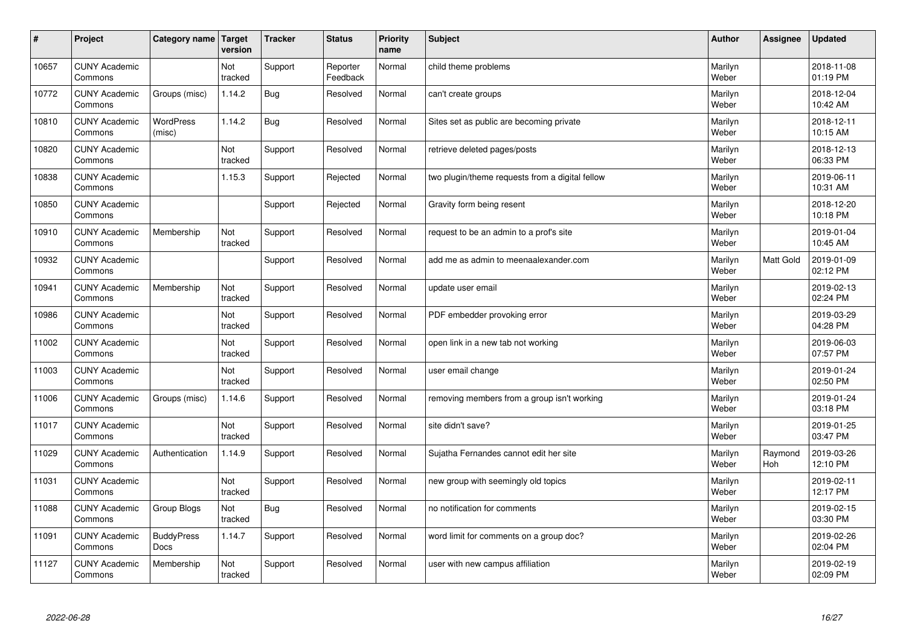| $\vert$ # | Project                         | Category name              | Target<br>version | <b>Tracker</b> | <b>Status</b>        | <b>Priority</b><br>name | <b>Subject</b>                                  | <b>Author</b>    | <b>Assignee</b> | <b>Updated</b>         |
|-----------|---------------------------------|----------------------------|-------------------|----------------|----------------------|-------------------------|-------------------------------------------------|------------------|-----------------|------------------------|
| 10657     | <b>CUNY Academic</b><br>Commons |                            | Not<br>tracked    | Support        | Reporter<br>Feedback | Normal                  | child theme problems                            | Marilyn<br>Weber |                 | 2018-11-08<br>01:19 PM |
| 10772     | <b>CUNY Academic</b><br>Commons | Groups (misc)              | 1.14.2            | Bug            | Resolved             | Normal                  | can't create groups                             | Marilyn<br>Weber |                 | 2018-12-04<br>10:42 AM |
| 10810     | <b>CUNY Academic</b><br>Commons | <b>WordPress</b><br>(misc) | 1.14.2            | <b>Bug</b>     | Resolved             | Normal                  | Sites set as public are becoming private        | Marilyn<br>Weber |                 | 2018-12-11<br>10:15 AM |
| 10820     | <b>CUNY Academic</b><br>Commons |                            | Not<br>tracked    | Support        | Resolved             | Normal                  | retrieve deleted pages/posts                    | Marilyn<br>Weber |                 | 2018-12-13<br>06:33 PM |
| 10838     | <b>CUNY Academic</b><br>Commons |                            | 1.15.3            | Support        | Rejected             | Normal                  | two plugin/theme requests from a digital fellow | Marilyn<br>Weber |                 | 2019-06-11<br>10:31 AM |
| 10850     | <b>CUNY Academic</b><br>Commons |                            |                   | Support        | Rejected             | Normal                  | Gravity form being resent                       | Marilyn<br>Weber |                 | 2018-12-20<br>10:18 PM |
| 10910     | <b>CUNY Academic</b><br>Commons | Membership                 | Not<br>tracked    | Support        | Resolved             | Normal                  | request to be an admin to a prof's site         | Marilyn<br>Weber |                 | 2019-01-04<br>10:45 AM |
| 10932     | <b>CUNY Academic</b><br>Commons |                            |                   | Support        | Resolved             | Normal                  | add me as admin to meenaalexander.com           | Marilyn<br>Weber | Matt Gold       | 2019-01-09<br>02:12 PM |
| 10941     | <b>CUNY Academic</b><br>Commons | Membership                 | Not<br>tracked    | Support        | Resolved             | Normal                  | update user email                               | Marilyn<br>Weber |                 | 2019-02-13<br>02:24 PM |
| 10986     | <b>CUNY Academic</b><br>Commons |                            | Not<br>tracked    | Support        | Resolved             | Normal                  | PDF embedder provoking error                    | Marilyn<br>Weber |                 | 2019-03-29<br>04:28 PM |
| 11002     | <b>CUNY Academic</b><br>Commons |                            | Not<br>tracked    | Support        | Resolved             | Normal                  | open link in a new tab not working              | Marilyn<br>Weber |                 | 2019-06-03<br>07:57 PM |
| 11003     | <b>CUNY Academic</b><br>Commons |                            | Not<br>tracked    | Support        | Resolved             | Normal                  | user email change                               | Marilyn<br>Weber |                 | 2019-01-24<br>02:50 PM |
| 11006     | <b>CUNY Academic</b><br>Commons | Groups (misc)              | 1.14.6            | Support        | Resolved             | Normal                  | removing members from a group isn't working     | Marilyn<br>Weber |                 | 2019-01-24<br>03:18 PM |
| 11017     | <b>CUNY Academic</b><br>Commons |                            | Not<br>tracked    | Support        | Resolved             | Normal                  | site didn't save?                               | Marilyn<br>Weber |                 | 2019-01-25<br>03:47 PM |
| 11029     | <b>CUNY Academic</b><br>Commons | Authentication             | 1.14.9            | Support        | Resolved             | Normal                  | Sujatha Fernandes cannot edit her site          | Marilyn<br>Weber | Raymond<br>Hoh  | 2019-03-26<br>12:10 PM |
| 11031     | <b>CUNY Academic</b><br>Commons |                            | Not<br>tracked    | Support        | Resolved             | Normal                  | new group with seemingly old topics             | Marilyn<br>Weber |                 | 2019-02-11<br>12:17 PM |
| 11088     | <b>CUNY Academic</b><br>Commons | Group Blogs                | Not<br>tracked    | <b>Bug</b>     | Resolved             | Normal                  | no notification for comments                    | Marilyn<br>Weber |                 | 2019-02-15<br>03:30 PM |
| 11091     | <b>CUNY Academic</b><br>Commons | <b>BuddyPress</b><br>Docs  | 1.14.7            | Support        | Resolved             | Normal                  | word limit for comments on a group doc?         | Marilyn<br>Weber |                 | 2019-02-26<br>02:04 PM |
| 11127     | <b>CUNY Academic</b><br>Commons | Membership                 | Not<br>tracked    | Support        | Resolved             | Normal                  | user with new campus affiliation                | Marilyn<br>Weber |                 | 2019-02-19<br>02:09 PM |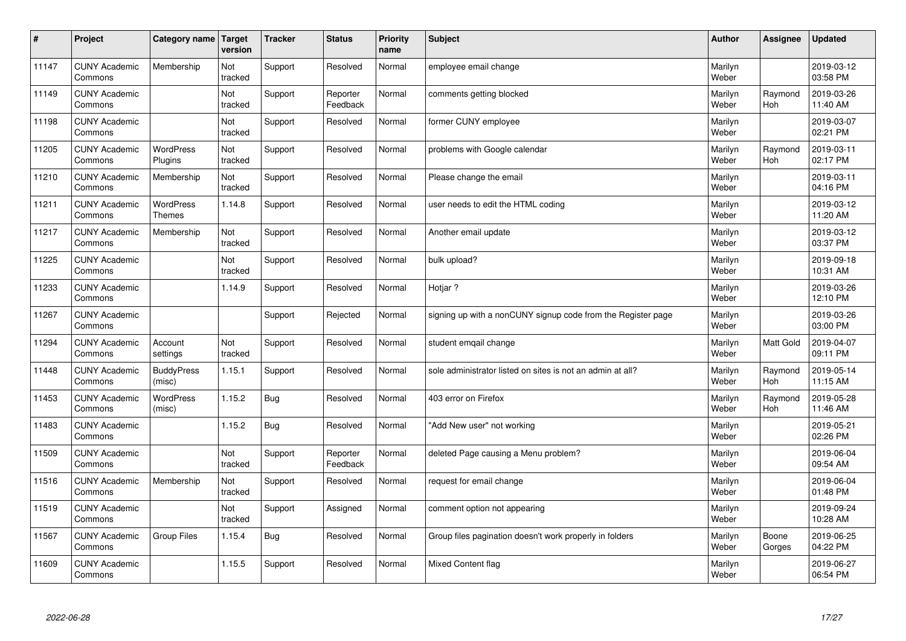| $\sharp$ | Project                         | Category name   Target            | version        | <b>Tracker</b> | <b>Status</b>        | <b>Priority</b><br>name | <b>Subject</b>                                               | <b>Author</b>    | <b>Assignee</b>       | <b>Updated</b>         |
|----------|---------------------------------|-----------------------------------|----------------|----------------|----------------------|-------------------------|--------------------------------------------------------------|------------------|-----------------------|------------------------|
| 11147    | <b>CUNY Academic</b><br>Commons | Membership                        | Not<br>tracked | Support        | Resolved             | Normal                  | employee email change                                        | Marilyn<br>Weber |                       | 2019-03-12<br>03:58 PM |
| 11149    | <b>CUNY Academic</b><br>Commons |                                   | Not<br>tracked | Support        | Reporter<br>Feedback | Normal                  | comments getting blocked                                     | Marilyn<br>Weber | Raymond<br><b>Hoh</b> | 2019-03-26<br>11:40 AM |
| 11198    | <b>CUNY Academic</b><br>Commons |                                   | Not<br>tracked | Support        | Resolved             | Normal                  | former CUNY employee                                         | Marilyn<br>Weber |                       | 2019-03-07<br>02:21 PM |
| 11205    | <b>CUNY Academic</b><br>Commons | <b>WordPress</b><br>Plugins       | Not<br>tracked | Support        | Resolved             | Normal                  | problems with Google calendar                                | Marilyn<br>Weber | Raymond<br>Hoh        | 2019-03-11<br>02:17 PM |
| 11210    | <b>CUNY Academic</b><br>Commons | Membership                        | Not<br>tracked | Support        | Resolved             | Normal                  | Please change the email                                      | Marilyn<br>Weber |                       | 2019-03-11<br>04:16 PM |
| 11211    | <b>CUNY Academic</b><br>Commons | <b>WordPress</b><br><b>Themes</b> | 1.14.8         | Support        | Resolved             | Normal                  | user needs to edit the HTML coding                           | Marilyn<br>Weber |                       | 2019-03-12<br>11:20 AM |
| 11217    | <b>CUNY Academic</b><br>Commons | Membership                        | Not<br>tracked | Support        | Resolved             | Normal                  | Another email update                                         | Marilyn<br>Weber |                       | 2019-03-12<br>03:37 PM |
| 11225    | <b>CUNY Academic</b><br>Commons |                                   | Not<br>tracked | Support        | Resolved             | Normal                  | bulk upload?                                                 | Marilyn<br>Weber |                       | 2019-09-18<br>10:31 AM |
| 11233    | <b>CUNY Academic</b><br>Commons |                                   | 1.14.9         | Support        | Resolved             | Normal                  | Hotjar?                                                      | Marilyn<br>Weber |                       | 2019-03-26<br>12:10 PM |
| 11267    | <b>CUNY Academic</b><br>Commons |                                   |                | Support        | Rejected             | Normal                  | signing up with a nonCUNY signup code from the Register page | Marilyn<br>Weber |                       | 2019-03-26<br>03:00 PM |
| 11294    | <b>CUNY Academic</b><br>Commons | Account<br>settings               | Not<br>tracked | Support        | Resolved             | Normal                  | student emgail change                                        | Marilyn<br>Weber | Matt Gold             | 2019-04-07<br>09:11 PM |
| 11448    | <b>CUNY Academic</b><br>Commons | <b>BuddyPress</b><br>(misc)       | 1.15.1         | Support        | Resolved             | Normal                  | sole administrator listed on sites is not an admin at all?   | Marilyn<br>Weber | Raymond<br><b>Hoh</b> | 2019-05-14<br>11:15 AM |
| 11453    | <b>CUNY Academic</b><br>Commons | <b>WordPress</b><br>(misc)        | 1.15.2         | Bug            | Resolved             | Normal                  | 403 error on Firefox                                         | Marilyn<br>Weber | Raymond<br>Hoh        | 2019-05-28<br>11:46 AM |
| 11483    | <b>CUNY Academic</b><br>Commons |                                   | 1.15.2         | Bug            | Resolved             | Normal                  | "Add New user" not working                                   | Marilyn<br>Weber |                       | 2019-05-21<br>02:26 PM |
| 11509    | <b>CUNY Academic</b><br>Commons |                                   | Not<br>tracked | Support        | Reporter<br>Feedback | Normal                  | deleted Page causing a Menu problem?                         | Marilyn<br>Weber |                       | 2019-06-04<br>09:54 AM |
| 11516    | <b>CUNY Academic</b><br>Commons | Membership                        | Not<br>tracked | Support        | Resolved             | Normal                  | request for email change                                     | Marilyn<br>Weber |                       | 2019-06-04<br>01:48 PM |
| 11519    | <b>CUNY Academic</b><br>Commons |                                   | Not<br>tracked | Support        | Assigned             | Normal                  | comment option not appearing                                 | Marilyn<br>Weber |                       | 2019-09-24<br>10:28 AM |
| 11567    | <b>CUNY Academic</b><br>Commons | Group Files                       | 1.15.4         | Bug            | Resolved             | Normal                  | Group files pagination doesn't work properly in folders      | Marilyn<br>Weber | Boone<br>Gorges       | 2019-06-25<br>04:22 PM |
| 11609    | <b>CUNY Academic</b><br>Commons |                                   | 1.15.5         | Support        | Resolved             | Normal                  | Mixed Content flag                                           | Marilyn<br>Weber |                       | 2019-06-27<br>06:54 PM |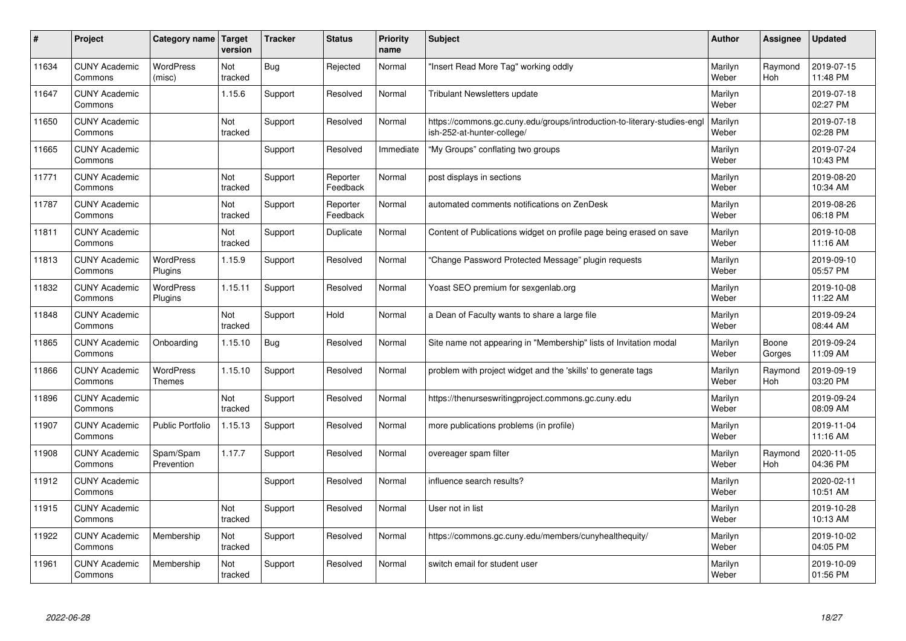| #     | Project                         | Category name               | <b>Target</b><br>version | <b>Tracker</b> | <b>Status</b>        | <b>Priority</b><br>name | <b>Subject</b>                                                                                        | <b>Author</b>    | Assignee              | <b>Updated</b>         |
|-------|---------------------------------|-----------------------------|--------------------------|----------------|----------------------|-------------------------|-------------------------------------------------------------------------------------------------------|------------------|-----------------------|------------------------|
| 11634 | <b>CUNY Academic</b><br>Commons | <b>WordPress</b><br>(misc)  | Not<br>tracked           | <b>Bug</b>     | Rejected             | Normal                  | 'Insert Read More Tag" working oddly                                                                  | Marilyn<br>Weber | Raymond<br>Hoh        | 2019-07-15<br>11:48 PM |
| 11647 | <b>CUNY Academic</b><br>Commons |                             | 1.15.6                   | Support        | Resolved             | Normal                  | <b>Tribulant Newsletters update</b>                                                                   | Marilyn<br>Weber |                       | 2019-07-18<br>02:27 PM |
| 11650 | <b>CUNY Academic</b><br>Commons |                             | Not<br>tracked           | Support        | Resolved             | Normal                  | https://commons.gc.cuny.edu/groups/introduction-to-literary-studies-eng<br>ish-252-at-hunter-college/ | Marilyn<br>Weber |                       | 2019-07-18<br>02:28 PM |
| 11665 | <b>CUNY Academic</b><br>Commons |                             |                          | Support        | Resolved             | Immediate               | 'My Groups" conflating two groups                                                                     | Marilyn<br>Weber |                       | 2019-07-24<br>10:43 PM |
| 11771 | <b>CUNY Academic</b><br>Commons |                             | Not<br>tracked           | Support        | Reporter<br>Feedback | Normal                  | post displays in sections                                                                             | Marilyn<br>Weber |                       | 2019-08-20<br>10:34 AM |
| 11787 | <b>CUNY Academic</b><br>Commons |                             | Not<br>tracked           | Support        | Reporter<br>Feedback | Normal                  | automated comments notifications on ZenDesk                                                           | Marilyn<br>Weber |                       | 2019-08-26<br>06:18 PM |
| 11811 | <b>CUNY Academic</b><br>Commons |                             | Not<br>tracked           | Support        | Duplicate            | Normal                  | Content of Publications widget on profile page being erased on save                                   | Marilyn<br>Weber |                       | 2019-10-08<br>11:16 AM |
| 11813 | <b>CUNY Academic</b><br>Commons | WordPress<br>Plugins        | 1.15.9                   | Support        | Resolved             | Normal                  | 'Change Password Protected Message" plugin requests                                                   | Marilyn<br>Weber |                       | 2019-09-10<br>05:57 PM |
| 11832 | <b>CUNY Academic</b><br>Commons | <b>WordPress</b><br>Plugins | 1.15.11                  | Support        | Resolved             | Normal                  | Yoast SEO premium for sexgenlab.org                                                                   | Marilyn<br>Weber |                       | 2019-10-08<br>11:22 AM |
| 11848 | <b>CUNY Academic</b><br>Commons |                             | Not<br>tracked           | Support        | Hold                 | Normal                  | a Dean of Faculty wants to share a large file                                                         | Marilyn<br>Weber |                       | 2019-09-24<br>08:44 AM |
| 11865 | <b>CUNY Academic</b><br>Commons | Onboarding                  | 1.15.10                  | Bug            | Resolved             | Normal                  | Site name not appearing in "Membership" lists of Invitation modal                                     | Marilyn<br>Weber | Boone<br>Gorges       | 2019-09-24<br>11:09 AM |
| 11866 | <b>CUNY Academic</b><br>Commons | WordPress<br><b>Themes</b>  | 1.15.10                  | Support        | Resolved             | Normal                  | problem with project widget and the 'skills' to generate tags                                         | Marilyn<br>Weber | Raymond<br><b>Hoh</b> | 2019-09-19<br>03:20 PM |
| 11896 | <b>CUNY Academic</b><br>Commons |                             | Not<br>tracked           | Support        | Resolved             | Normal                  | https://thenurseswritingproject.commons.gc.cuny.edu                                                   | Marilyn<br>Weber |                       | 2019-09-24<br>08:09 AM |
| 11907 | <b>CUNY Academic</b><br>Commons | Public Portfolio            | 1.15.13                  | Support        | Resolved             | Normal                  | more publications problems (in profile)                                                               | Marilyn<br>Weber |                       | 2019-11-04<br>11:16 AM |
| 11908 | <b>CUNY Academic</b><br>Commons | Spam/Spam<br>Prevention     | 1.17.7                   | Support        | Resolved             | Normal                  | overeager spam filter                                                                                 | Marilyn<br>Weber | Raymond<br>Hoh        | 2020-11-05<br>04:36 PM |
| 11912 | <b>CUNY Academic</b><br>Commons |                             |                          | Support        | Resolved             | Normal                  | influence search results?                                                                             | Marilyn<br>Weber |                       | 2020-02-11<br>10:51 AM |
| 11915 | <b>CUNY Academic</b><br>Commons |                             | Not<br>tracked           | Support        | Resolved             | Normal                  | User not in list                                                                                      | Marilyn<br>Weber |                       | 2019-10-28<br>10:13 AM |
| 11922 | <b>CUNY Academic</b><br>Commons | Membership                  | Not<br>tracked           | Support        | Resolved             | Normal                  | https://commons.gc.cuny.edu/members/cunyhealthequity/                                                 | Marilyn<br>Weber |                       | 2019-10-02<br>04:05 PM |
| 11961 | <b>CUNY Academic</b><br>Commons | Membership                  | Not<br>tracked           | Support        | Resolved             | Normal                  | switch email for student user                                                                         | Marilyn<br>Weber |                       | 2019-10-09<br>01:56 PM |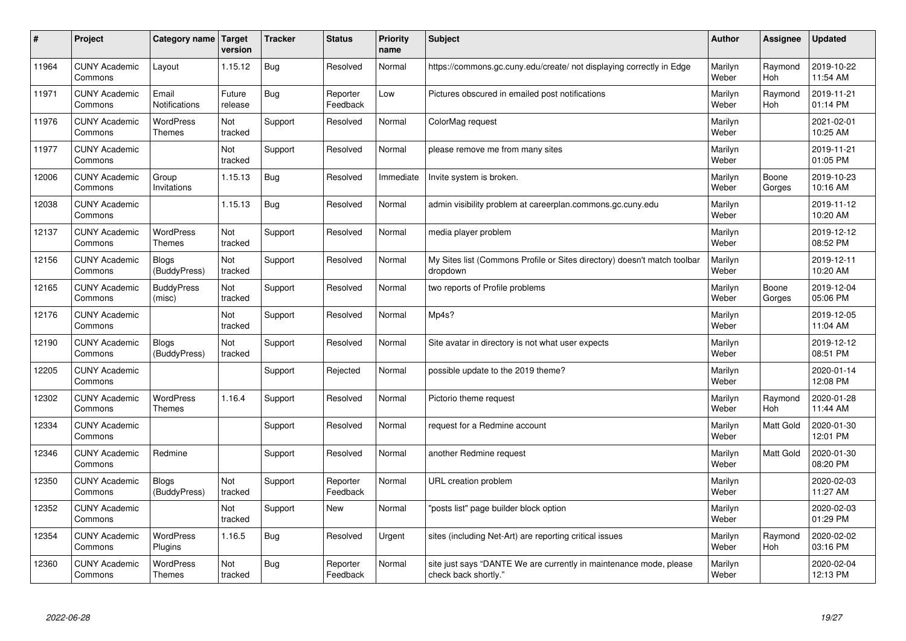| #     | Project                         | Category name   Target            | version           | <b>Tracker</b> | <b>Status</b>        | <b>Priority</b><br>name | <b>Subject</b>                                                                             | <b>Author</b>    | <b>Assignee</b>  | <b>Updated</b>         |
|-------|---------------------------------|-----------------------------------|-------------------|----------------|----------------------|-------------------------|--------------------------------------------------------------------------------------------|------------------|------------------|------------------------|
| 11964 | <b>CUNY Academic</b><br>Commons | Layout                            | 1.15.12           | <b>Bug</b>     | Resolved             | Normal                  | https://commons.gc.cuny.edu/create/ not displaying correctly in Edge                       | Marilyn<br>Weber | Raymond<br>Hoh   | 2019-10-22<br>11:54 AM |
| 11971 | <b>CUNY Academic</b><br>Commons | Email<br>Notifications            | Future<br>release | <b>Bug</b>     | Reporter<br>Feedback | Low                     | Pictures obscured in emailed post notifications                                            | Marilyn<br>Weber | Raymond<br>Hoh   | 2019-11-21<br>01:14 PM |
| 11976 | <b>CUNY Academic</b><br>Commons | WordPress<br><b>Themes</b>        | Not<br>tracked    | Support        | Resolved             | Normal                  | ColorMag request                                                                           | Marilyn<br>Weber |                  | 2021-02-01<br>10:25 AM |
| 11977 | <b>CUNY Academic</b><br>Commons |                                   | Not<br>tracked    | Support        | Resolved             | Normal                  | please remove me from many sites                                                           | Marilyn<br>Weber |                  | 2019-11-21<br>01:05 PM |
| 12006 | <b>CUNY Academic</b><br>Commons | Group<br>Invitations              | 1.15.13           | Bug            | Resolved             | Immediate               | Invite system is broken.                                                                   | Marilyn<br>Weber | Boone<br>Gorges  | 2019-10-23<br>10:16 AM |
| 12038 | <b>CUNY Academic</b><br>Commons |                                   | 1.15.13           | Bug            | Resolved             | Normal                  | admin visibility problem at careerplan.commons.gc.cuny.edu                                 | Marilyn<br>Weber |                  | 2019-11-12<br>10:20 AM |
| 12137 | <b>CUNY Academic</b><br>Commons | <b>WordPress</b><br><b>Themes</b> | Not<br>tracked    | Support        | Resolved             | Normal                  | media player problem                                                                       | Marilyn<br>Weber |                  | 2019-12-12<br>08:52 PM |
| 12156 | <b>CUNY Academic</b><br>Commons | <b>Blogs</b><br>(BuddyPress)      | Not<br>tracked    | Support        | Resolved             | Normal                  | My Sites list (Commons Profile or Sites directory) doesn't match toolbar<br>dropdown       | Marilyn<br>Weber |                  | 2019-12-11<br>10:20 AM |
| 12165 | <b>CUNY Academic</b><br>Commons | <b>BuddyPress</b><br>(misc)       | Not<br>tracked    | Support        | Resolved             | Normal                  | two reports of Profile problems                                                            | Marilyn<br>Weber | Boone<br>Gorges  | 2019-12-04<br>05:06 PM |
| 12176 | <b>CUNY Academic</b><br>Commons |                                   | Not<br>tracked    | Support        | Resolved             | Normal                  | Mp4s?                                                                                      | Marilyn<br>Weber |                  | 2019-12-05<br>11:04 AM |
| 12190 | <b>CUNY Academic</b><br>Commons | <b>Blogs</b><br>(BuddyPress)      | Not<br>tracked    | Support        | Resolved             | Normal                  | Site avatar in directory is not what user expects                                          | Marilyn<br>Weber |                  | 2019-12-12<br>08:51 PM |
| 12205 | <b>CUNY Academic</b><br>Commons |                                   |                   | Support        | Rejected             | Normal                  | possible update to the 2019 theme?                                                         | Marilyn<br>Weber |                  | 2020-01-14<br>12:08 PM |
| 12302 | <b>CUNY Academic</b><br>Commons | <b>WordPress</b><br><b>Themes</b> | 1.16.4            | Support        | Resolved             | Normal                  | Pictorio theme request                                                                     | Marilyn<br>Weber | Raymond<br>Hoh   | 2020-01-28<br>11:44 AM |
| 12334 | <b>CUNY Academic</b><br>Commons |                                   |                   | Support        | Resolved             | Normal                  | request for a Redmine account                                                              | Marilyn<br>Weber | <b>Matt Gold</b> | 2020-01-30<br>12:01 PM |
| 12346 | <b>CUNY Academic</b><br>Commons | Redmine                           |                   | Support        | Resolved             | Normal                  | another Redmine request                                                                    | Marilyn<br>Weber | Matt Gold        | 2020-01-30<br>08:20 PM |
| 12350 | <b>CUNY Academic</b><br>Commons | <b>Blogs</b><br>(BuddyPress)      | Not<br>tracked    | Support        | Reporter<br>Feedback | Normal                  | URL creation problem                                                                       | Marilyn<br>Weber |                  | 2020-02-03<br>11:27 AM |
| 12352 | <b>CUNY Academic</b><br>Commons |                                   | Not<br>tracked    | Support        | <b>New</b>           | Normal                  | 'posts list" page builder block option                                                     | Marilyn<br>Weber |                  | 2020-02-03<br>01:29 PM |
| 12354 | <b>CUNY Academic</b><br>Commons | WordPress<br>Plugins              | 1.16.5            | Bug            | Resolved             | Urgent                  | sites (including Net-Art) are reporting critical issues                                    | Marilyn<br>Weber | Raymond<br>Hoh   | 2020-02-02<br>03:16 PM |
| 12360 | <b>CUNY Academic</b><br>Commons | WordPress<br><b>Themes</b>        | Not<br>tracked    | <b>Bug</b>     | Reporter<br>Feedback | Normal                  | site just says "DANTE We are currently in maintenance mode, please<br>check back shortly." | Marilyn<br>Weber |                  | 2020-02-04<br>12:13 PM |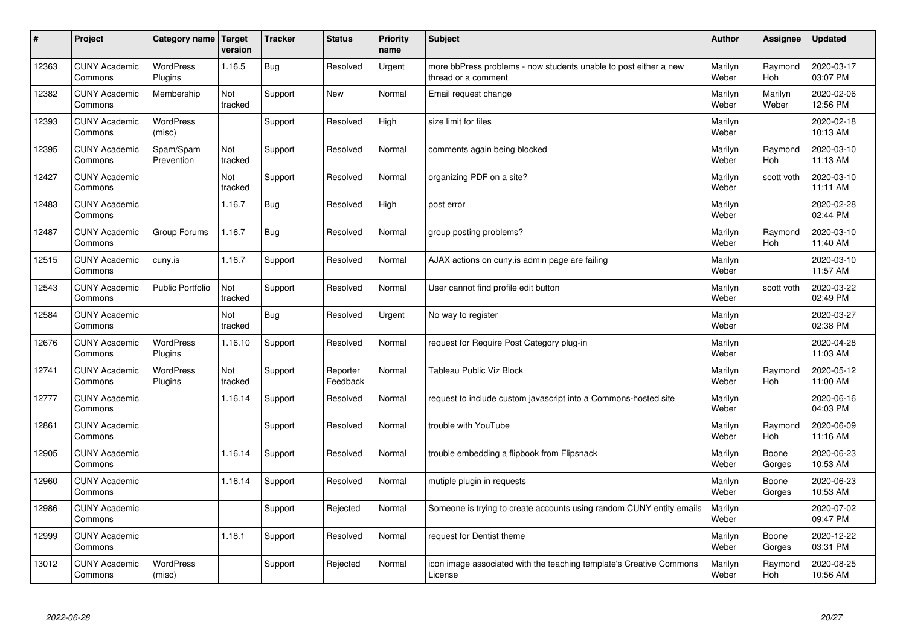| #     | Project                         | Category name   Target      | version        | <b>Tracker</b> | <b>Status</b>        | <b>Priority</b><br>name | <b>Subject</b>                                                                          | <b>Author</b>    | <b>Assignee</b>       | <b>Updated</b>         |
|-------|---------------------------------|-----------------------------|----------------|----------------|----------------------|-------------------------|-----------------------------------------------------------------------------------------|------------------|-----------------------|------------------------|
| 12363 | <b>CUNY Academic</b><br>Commons | <b>WordPress</b><br>Plugins | 1.16.5         | Bug            | Resolved             | Urgent                  | more bbPress problems - now students unable to post either a new<br>thread or a comment | Marilyn<br>Weber | Raymond<br>Hoh        | 2020-03-17<br>03:07 PM |
| 12382 | <b>CUNY Academic</b><br>Commons | Membership                  | Not<br>tracked | Support        | New                  | Normal                  | Email request change                                                                    | Marilyn<br>Weber | Marilyn<br>Weber      | 2020-02-06<br>12:56 PM |
| 12393 | <b>CUNY Academic</b><br>Commons | WordPress<br>(misc)         |                | Support        | Resolved             | High                    | size limit for files                                                                    | Marilyn<br>Weber |                       | 2020-02-18<br>10:13 AM |
| 12395 | <b>CUNY Academic</b><br>Commons | Spam/Spam<br>Prevention     | Not<br>tracked | Support        | Resolved             | Normal                  | comments again being blocked                                                            | Marilyn<br>Weber | Raymond<br>Hoh        | 2020-03-10<br>11:13 AM |
| 12427 | <b>CUNY Academic</b><br>Commons |                             | Not<br>tracked | Support        | Resolved             | Normal                  | organizing PDF on a site?                                                               | Marilyn<br>Weber | scott voth            | 2020-03-10<br>11:11 AM |
| 12483 | <b>CUNY Academic</b><br>Commons |                             | 1.16.7         | Bug            | Resolved             | High                    | post error                                                                              | Marilyn<br>Weber |                       | 2020-02-28<br>02:44 PM |
| 12487 | <b>CUNY Academic</b><br>Commons | Group Forums                | 1.16.7         | Bug            | Resolved             | Normal                  | group posting problems?                                                                 | Marilyn<br>Weber | Raymond<br><b>Hoh</b> | 2020-03-10<br>11:40 AM |
| 12515 | <b>CUNY Academic</b><br>Commons | cuny.is                     | 1.16.7         | Support        | Resolved             | Normal                  | AJAX actions on cuny.is admin page are failing                                          | Marilyn<br>Weber |                       | 2020-03-10<br>11:57 AM |
| 12543 | <b>CUNY Academic</b><br>Commons | <b>Public Portfolio</b>     | Not<br>tracked | Support        | Resolved             | Normal                  | User cannot find profile edit button                                                    | Marilyn<br>Weber | scott voth            | 2020-03-22<br>02:49 PM |
| 12584 | <b>CUNY Academic</b><br>Commons |                             | Not<br>tracked | Bug            | Resolved             | Urgent                  | No way to register                                                                      | Marilyn<br>Weber |                       | 2020-03-27<br>02:38 PM |
| 12676 | <b>CUNY Academic</b><br>Commons | <b>WordPress</b><br>Plugins | 1.16.10        | Support        | Resolved             | Normal                  | request for Require Post Category plug-in                                               | Marilyn<br>Weber |                       | 2020-04-28<br>11:03 AM |
| 12741 | <b>CUNY Academic</b><br>Commons | <b>WordPress</b><br>Plugins | Not<br>tracked | Support        | Reporter<br>Feedback | Normal                  | Tableau Public Viz Block                                                                | Marilyn<br>Weber | Raymond<br>Hoh        | 2020-05-12<br>11:00 AM |
| 12777 | <b>CUNY Academic</b><br>Commons |                             | 1.16.14        | Support        | Resolved             | Normal                  | request to include custom javascript into a Commons-hosted site                         | Marilyn<br>Weber |                       | 2020-06-16<br>04:03 PM |
| 12861 | <b>CUNY Academic</b><br>Commons |                             |                | Support        | Resolved             | Normal                  | trouble with YouTube                                                                    | Marilyn<br>Weber | Raymond<br>Hoh        | 2020-06-09<br>11:16 AM |
| 12905 | <b>CUNY Academic</b><br>Commons |                             | 1.16.14        | Support        | Resolved             | Normal                  | trouble embedding a flipbook from Flipsnack                                             | Marilyn<br>Weber | Boone<br>Gorges       | 2020-06-23<br>10:53 AM |
| 12960 | <b>CUNY Academic</b><br>Commons |                             | 1.16.14        | Support        | Resolved             | Normal                  | mutiple plugin in requests                                                              | Marilyn<br>Weber | Boone<br>Gorges       | 2020-06-23<br>10:53 AM |
| 12986 | <b>CUNY Academic</b><br>Commons |                             |                | Support        | Rejected             | Normal                  | Someone is trying to create accounts using random CUNY entity emails                    | Marilyn<br>Weber |                       | 2020-07-02<br>09:47 PM |
| 12999 | <b>CUNY Academic</b><br>Commons |                             | 1.18.1         | Support        | Resolved             | Normal                  | request for Dentist theme                                                               | Marilyn<br>Weber | Boone<br>Gorges       | 2020-12-22<br>03:31 PM |
| 13012 | <b>CUNY Academic</b><br>Commons | <b>WordPress</b><br>(misc)  |                | Support        | Rejected             | Normal                  | icon image associated with the teaching template's Creative Commons<br>License          | Marilyn<br>Weber | Raymond<br>Hoh        | 2020-08-25<br>10:56 AM |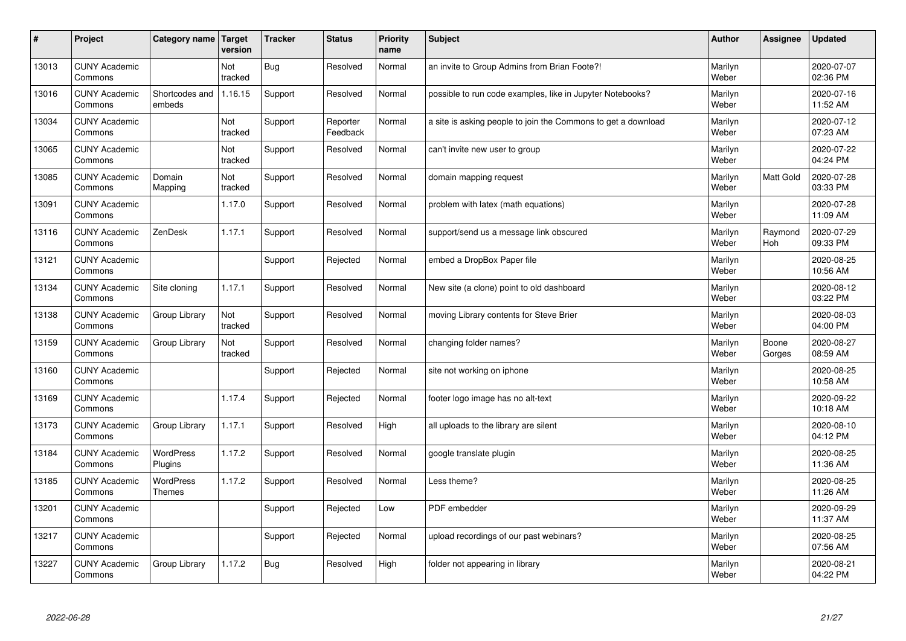| $\pmb{\sharp}$ | Project                         | Category name                     | Target<br>version | <b>Tracker</b> | <b>Status</b>        | <b>Priority</b><br>name | <b>Subject</b>                                                | <b>Author</b>    | Assignee        | <b>Updated</b>         |
|----------------|---------------------------------|-----------------------------------|-------------------|----------------|----------------------|-------------------------|---------------------------------------------------------------|------------------|-----------------|------------------------|
| 13013          | <b>CUNY Academic</b><br>Commons |                                   | Not<br>tracked    | <b>Bug</b>     | Resolved             | Normal                  | an invite to Group Admins from Brian Foote?!                  | Marilyn<br>Weber |                 | 2020-07-07<br>02:36 PM |
| 13016          | <b>CUNY Academic</b><br>Commons | Shortcodes and<br>embeds          | 1.16.15           | Support        | Resolved             | Normal                  | possible to run code examples, like in Jupyter Notebooks?     | Marilyn<br>Weber |                 | 2020-07-16<br>11:52 AM |
| 13034          | <b>CUNY Academic</b><br>Commons |                                   | Not<br>tracked    | Support        | Reporter<br>Feedback | Normal                  | a site is asking people to join the Commons to get a download | Marilyn<br>Weber |                 | 2020-07-12<br>07:23 AM |
| 13065          | <b>CUNY Academic</b><br>Commons |                                   | Not<br>tracked    | Support        | Resolved             | Normal                  | can't invite new user to group                                | Marilyn<br>Weber |                 | 2020-07-22<br>04:24 PM |
| 13085          | <b>CUNY Academic</b><br>Commons | Domain<br>Mapping                 | Not<br>tracked    | Support        | Resolved             | Normal                  | domain mapping request                                        | Marilyn<br>Weber | Matt Gold       | 2020-07-28<br>03:33 PM |
| 13091          | <b>CUNY Academic</b><br>Commons |                                   | 1.17.0            | Support        | Resolved             | Normal                  | problem with latex (math equations)                           | Marilyn<br>Weber |                 | 2020-07-28<br>11:09 AM |
| 13116          | <b>CUNY Academic</b><br>Commons | ZenDesk                           | 1.17.1            | Support        | Resolved             | Normal                  | support/send us a message link obscured                       | Marilyn<br>Weber | Raymond<br>Hoh  | 2020-07-29<br>09:33 PM |
| 13121          | <b>CUNY Academic</b><br>Commons |                                   |                   | Support        | Rejected             | Normal                  | embed a DropBox Paper file                                    | Marilyn<br>Weber |                 | 2020-08-25<br>10:56 AM |
| 13134          | <b>CUNY Academic</b><br>Commons | Site cloning                      | 1.17.1            | Support        | Resolved             | Normal                  | New site (a clone) point to old dashboard                     | Marilyn<br>Weber |                 | 2020-08-12<br>03:22 PM |
| 13138          | <b>CUNY Academic</b><br>Commons | Group Library                     | Not<br>tracked    | Support        | Resolved             | Normal                  | moving Library contents for Steve Brier                       | Marilyn<br>Weber |                 | 2020-08-03<br>04:00 PM |
| 13159          | <b>CUNY Academic</b><br>Commons | Group Library                     | Not<br>tracked    | Support        | Resolved             | Normal                  | changing folder names?                                        | Marilyn<br>Weber | Boone<br>Gorges | 2020-08-27<br>08:59 AM |
| 13160          | <b>CUNY Academic</b><br>Commons |                                   |                   | Support        | Rejected             | Normal                  | site not working on iphone                                    | Marilyn<br>Weber |                 | 2020-08-25<br>10:58 AM |
| 13169          | <b>CUNY Academic</b><br>Commons |                                   | 1.17.4            | Support        | Rejected             | Normal                  | footer logo image has no alt-text                             | Marilyn<br>Weber |                 | 2020-09-22<br>10:18 AM |
| 13173          | <b>CUNY Academic</b><br>Commons | Group Library                     | 1.17.1            | Support        | Resolved             | High                    | all uploads to the library are silent                         | Marilyn<br>Weber |                 | 2020-08-10<br>04:12 PM |
| 13184          | <b>CUNY Academic</b><br>Commons | <b>WordPress</b><br>Plugins       | 1.17.2            | Support        | Resolved             | Normal                  | google translate plugin                                       | Marilyn<br>Weber |                 | 2020-08-25<br>11:36 AM |
| 13185          | <b>CUNY Academic</b><br>Commons | <b>WordPress</b><br><b>Themes</b> | 1.17.2            | Support        | Resolved             | Normal                  | Less theme?                                                   | Marilyn<br>Weber |                 | 2020-08-25<br>11:26 AM |
| 13201          | <b>CUNY Academic</b><br>Commons |                                   |                   | Support        | Rejected             | Low                     | <b>PDF</b> embedder                                           | Marilyn<br>Weber |                 | 2020-09-29<br>11:37 AM |
| 13217          | <b>CUNY Academic</b><br>Commons |                                   |                   | Support        | Rejected             | Normal                  | upload recordings of our past webinars?                       | Marilyn<br>Weber |                 | 2020-08-25<br>07:56 AM |
| 13227          | <b>CUNY Academic</b><br>Commons | Group Library                     | 1.17.2            | Bug            | Resolved             | High                    | folder not appearing in library                               | Marilyn<br>Weber |                 | 2020-08-21<br>04:22 PM |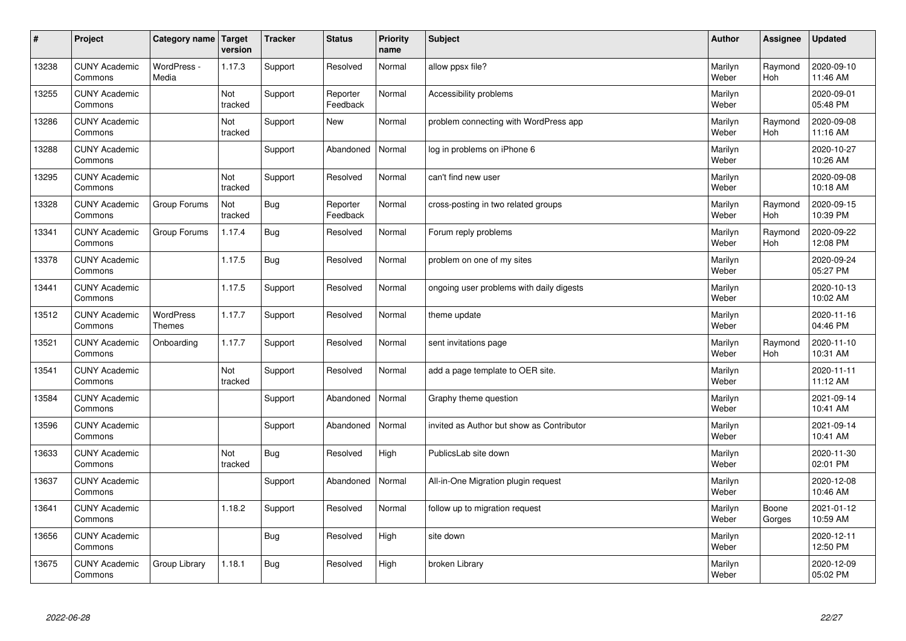| $\sharp$ | Project                         | Category name   Target     | version        | <b>Tracker</b> | <b>Status</b>        | <b>Priority</b><br>name | <b>Subject</b>                            | <b>Author</b>    | Assignee              | <b>Updated</b>         |
|----------|---------------------------------|----------------------------|----------------|----------------|----------------------|-------------------------|-------------------------------------------|------------------|-----------------------|------------------------|
| 13238    | <b>CUNY Academic</b><br>Commons | WordPress -<br>Media       | 1.17.3         | Support        | Resolved             | Normal                  | allow ppsx file?                          | Marilyn<br>Weber | Raymond<br><b>Hoh</b> | 2020-09-10<br>11:46 AM |
| 13255    | <b>CUNY Academic</b><br>Commons |                            | Not<br>tracked | Support        | Reporter<br>Feedback | Normal                  | Accessibility problems                    | Marilyn<br>Weber |                       | 2020-09-01<br>05:48 PM |
| 13286    | <b>CUNY Academic</b><br>Commons |                            | Not<br>tracked | Support        | <b>New</b>           | Normal                  | problem connecting with WordPress app     | Marilyn<br>Weber | Raymond<br><b>Hoh</b> | 2020-09-08<br>11:16 AM |
| 13288    | <b>CUNY Academic</b><br>Commons |                            |                | Support        | Abandoned            | Normal                  | log in problems on iPhone 6               | Marilyn<br>Weber |                       | 2020-10-27<br>10:26 AM |
| 13295    | <b>CUNY Academic</b><br>Commons |                            | Not<br>tracked | Support        | Resolved             | Normal                  | can't find new user                       | Marilyn<br>Weber |                       | 2020-09-08<br>10:18 AM |
| 13328    | <b>CUNY Academic</b><br>Commons | Group Forums               | Not<br>tracked | Bug            | Reporter<br>Feedback | Normal                  | cross-posting in two related groups       | Marilyn<br>Weber | Raymond<br>Hoh        | 2020-09-15<br>10:39 PM |
| 13341    | <b>CUNY Academic</b><br>Commons | Group Forums               | 1.17.4         | <b>Bug</b>     | Resolved             | Normal                  | Forum reply problems                      | Marilyn<br>Weber | Raymond<br>Hoh        | 2020-09-22<br>12:08 PM |
| 13378    | <b>CUNY Academic</b><br>Commons |                            | 1.17.5         | Bug            | Resolved             | Normal                  | problem on one of my sites                | Marilyn<br>Weber |                       | 2020-09-24<br>05:27 PM |
| 13441    | <b>CUNY Academic</b><br>Commons |                            | 1.17.5         | Support        | Resolved             | Normal                  | ongoing user problems with daily digests  | Marilyn<br>Weber |                       | 2020-10-13<br>10:02 AM |
| 13512    | <b>CUNY Academic</b><br>Commons | WordPress<br><b>Themes</b> | 1.17.7         | Support        | Resolved             | Normal                  | theme update                              | Marilyn<br>Weber |                       | 2020-11-16<br>04:46 PM |
| 13521    | <b>CUNY Academic</b><br>Commons | Onboarding                 | 1.17.7         | Support        | Resolved             | Normal                  | sent invitations page                     | Marilyn<br>Weber | Raymond<br>Hoh        | 2020-11-10<br>10:31 AM |
| 13541    | <b>CUNY Academic</b><br>Commons |                            | Not<br>tracked | Support        | Resolved             | Normal                  | add a page template to OER site.          | Marilyn<br>Weber |                       | 2020-11-11<br>11:12 AM |
| 13584    | <b>CUNY Academic</b><br>Commons |                            |                | Support        | Abandoned            | Normal                  | Graphy theme question                     | Marilyn<br>Weber |                       | 2021-09-14<br>10:41 AM |
| 13596    | <b>CUNY Academic</b><br>Commons |                            |                | Support        | Abandoned            | Normal                  | invited as Author but show as Contributor | Marilyn<br>Weber |                       | 2021-09-14<br>10:41 AM |
| 13633    | <b>CUNY Academic</b><br>Commons |                            | Not<br>tracked | Bug            | Resolved             | High                    | PublicsLab site down                      | Marilyn<br>Weber |                       | 2020-11-30<br>02:01 PM |
| 13637    | <b>CUNY Academic</b><br>Commons |                            |                | Support        | Abandoned            | Normal                  | All-in-One Migration plugin request       | Marilyn<br>Weber |                       | 2020-12-08<br>10:46 AM |
| 13641    | <b>CUNY Academic</b><br>Commons |                            | 1.18.2         | Support        | Resolved             | Normal                  | follow up to migration request            | Marilyn<br>Weber | Boone<br>Gorges       | 2021-01-12<br>10:59 AM |
| 13656    | <b>CUNY Academic</b><br>Commons |                            |                | <b>Bug</b>     | Resolved             | High                    | site down                                 | Marilyn<br>Weber |                       | 2020-12-11<br>12:50 PM |
| 13675    | <b>CUNY Academic</b><br>Commons | Group Library              | 1.18.1         | Bug            | Resolved             | High                    | broken Library                            | Marilyn<br>Weber |                       | 2020-12-09<br>05:02 PM |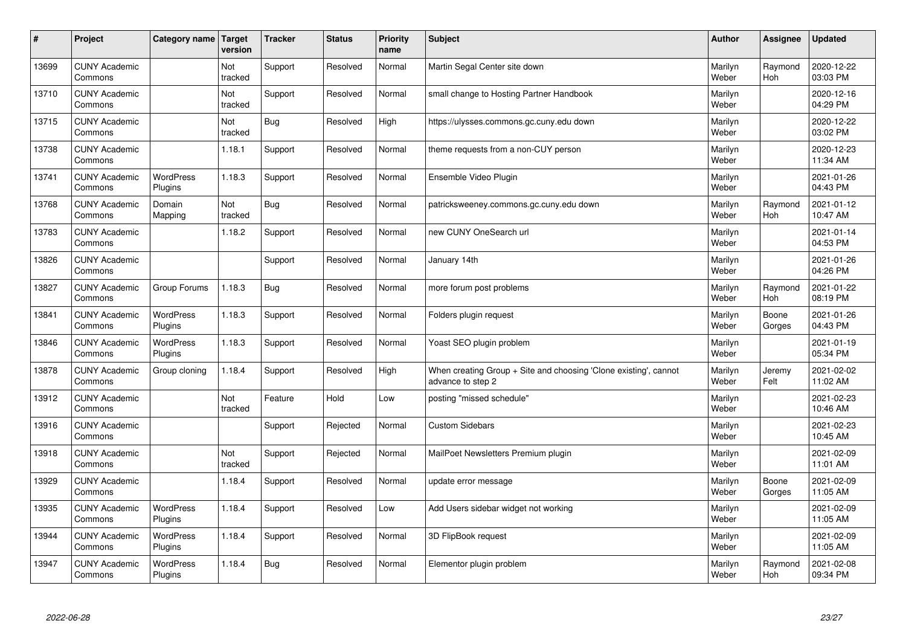| $\pmb{\sharp}$ | Project                         | Category name               | Target<br>version | <b>Tracker</b> | <b>Status</b> | <b>Priority</b><br>name | <b>Subject</b>                                                                        | <b>Author</b>    | Assignee        | <b>Updated</b>         |
|----------------|---------------------------------|-----------------------------|-------------------|----------------|---------------|-------------------------|---------------------------------------------------------------------------------------|------------------|-----------------|------------------------|
| 13699          | <b>CUNY Academic</b><br>Commons |                             | Not<br>tracked    | Support        | Resolved      | Normal                  | Martin Segal Center site down                                                         | Marilyn<br>Weber | Raymond<br>Hoh  | 2020-12-22<br>03:03 PM |
| 13710          | <b>CUNY Academic</b><br>Commons |                             | Not<br>tracked    | Support        | Resolved      | Normal                  | small change to Hosting Partner Handbook                                              | Marilyn<br>Weber |                 | 2020-12-16<br>04:29 PM |
| 13715          | <b>CUNY Academic</b><br>Commons |                             | Not<br>tracked    | <b>Bug</b>     | Resolved      | High                    | https://ulysses.commons.gc.cuny.edu down                                              | Marilyn<br>Weber |                 | 2020-12-22<br>03:02 PM |
| 13738          | <b>CUNY Academic</b><br>Commons |                             | 1.18.1            | Support        | Resolved      | Normal                  | theme requests from a non-CUY person                                                  | Marilyn<br>Weber |                 | 2020-12-23<br>11:34 AM |
| 13741          | <b>CUNY Academic</b><br>Commons | <b>WordPress</b><br>Plugins | 1.18.3            | Support        | Resolved      | Normal                  | Ensemble Video Plugin                                                                 | Marilyn<br>Weber |                 | 2021-01-26<br>04:43 PM |
| 13768          | <b>CUNY Academic</b><br>Commons | Domain<br>Mapping           | Not<br>tracked    | <b>Bug</b>     | Resolved      | Normal                  | patricksweeney.commons.gc.cuny.edu down                                               | Marilyn<br>Weber | Raymond<br>Hoh  | 2021-01-12<br>10:47 AM |
| 13783          | <b>CUNY Academic</b><br>Commons |                             | 1.18.2            | Support        | Resolved      | Normal                  | new CUNY OneSearch url                                                                | Marilyn<br>Weber |                 | 2021-01-14<br>04:53 PM |
| 13826          | <b>CUNY Academic</b><br>Commons |                             |                   | Support        | Resolved      | Normal                  | January 14th                                                                          | Marilyn<br>Weber |                 | 2021-01-26<br>04:26 PM |
| 13827          | <b>CUNY Academic</b><br>Commons | Group Forums                | 1.18.3            | Bug            | Resolved      | Normal                  | more forum post problems                                                              | Marilyn<br>Weber | Raymond<br>Hoh  | 2021-01-22<br>08:19 PM |
| 13841          | <b>CUNY Academic</b><br>Commons | WordPress<br>Plugins        | 1.18.3            | Support        | Resolved      | Normal                  | Folders plugin request                                                                | Marilyn<br>Weber | Boone<br>Gorges | 2021-01-26<br>04:43 PM |
| 13846          | <b>CUNY Academic</b><br>Commons | WordPress<br>Plugins        | 1.18.3            | Support        | Resolved      | Normal                  | Yoast SEO plugin problem                                                              | Marilyn<br>Weber |                 | 2021-01-19<br>05:34 PM |
| 13878          | <b>CUNY Academic</b><br>Commons | Group cloning               | 1.18.4            | Support        | Resolved      | High                    | When creating Group + Site and choosing 'Clone existing', cannot<br>advance to step 2 | Marilyn<br>Weber | Jeremy<br>Felt  | 2021-02-02<br>11:02 AM |
| 13912          | <b>CUNY Academic</b><br>Commons |                             | Not<br>tracked    | Feature        | Hold          | Low                     | posting "missed schedule"                                                             | Marilyn<br>Weber |                 | 2021-02-23<br>10:46 AM |
| 13916          | <b>CUNY Academic</b><br>Commons |                             |                   | Support        | Rejected      | Normal                  | <b>Custom Sidebars</b>                                                                | Marilyn<br>Weber |                 | 2021-02-23<br>10:45 AM |
| 13918          | <b>CUNY Academic</b><br>Commons |                             | Not<br>tracked    | Support        | Rejected      | Normal                  | MailPoet Newsletters Premium plugin                                                   | Marilyn<br>Weber |                 | 2021-02-09<br>11:01 AM |
| 13929          | <b>CUNY Academic</b><br>Commons |                             | 1.18.4            | Support        | Resolved      | Normal                  | update error message                                                                  | Marilyn<br>Weber | Boone<br>Gorges | 2021-02-09<br>11:05 AM |
| 13935          | <b>CUNY Academic</b><br>Commons | WordPress<br>Plugins        | 1.18.4            | Support        | Resolved      | Low                     | Add Users sidebar widget not working                                                  | Marilyn<br>Weber |                 | 2021-02-09<br>11:05 AM |
| 13944          | <b>CUNY Academic</b><br>Commons | WordPress<br>Plugins        | 1.18.4            | Support        | Resolved      | Normal                  | 3D FlipBook request                                                                   | Marilyn<br>Weber |                 | 2021-02-09<br>11:05 AM |
| 13947          | <b>CUNY Academic</b><br>Commons | <b>WordPress</b><br>Plugins | 1.18.4            | Bug            | Resolved      | Normal                  | Elementor plugin problem                                                              | Marilyn<br>Weber | Raymond<br>Hoh  | 2021-02-08<br>09:34 PM |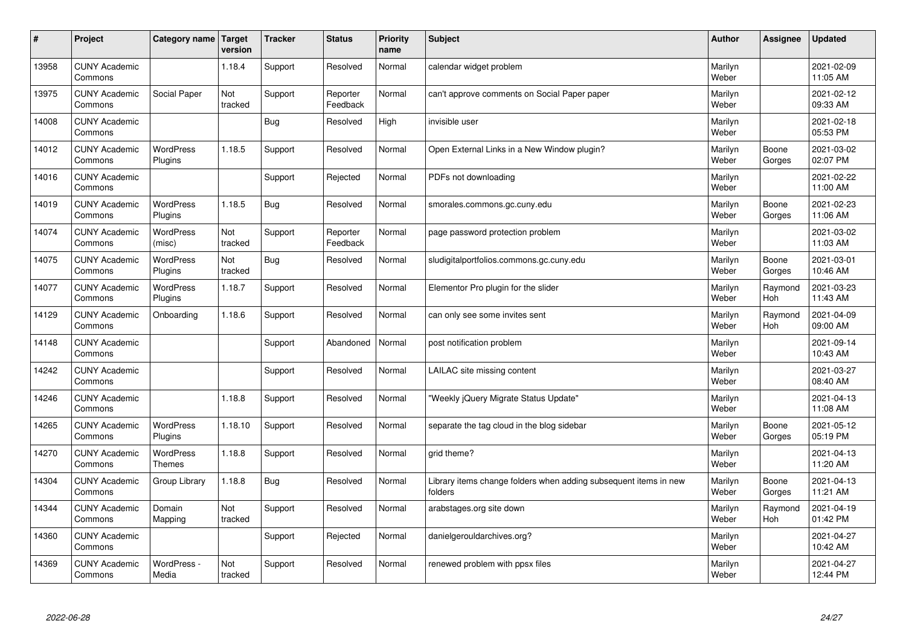| $\sharp$ | Project                         | Category name   Target             | version        | <b>Tracker</b> | <b>Status</b>        | <b>Priority</b><br>name | <b>Subject</b>                                                              | <b>Author</b>    | Assignee              | <b>Updated</b>         |
|----------|---------------------------------|------------------------------------|----------------|----------------|----------------------|-------------------------|-----------------------------------------------------------------------------|------------------|-----------------------|------------------------|
| 13958    | <b>CUNY Academic</b><br>Commons |                                    | 1.18.4         | Support        | Resolved             | Normal                  | calendar widget problem                                                     | Marilyn<br>Weber |                       | 2021-02-09<br>11:05 AM |
| 13975    | <b>CUNY Academic</b><br>Commons | Social Paper                       | Not<br>tracked | Support        | Reporter<br>Feedback | Normal                  | can't approve comments on Social Paper paper                                | Marilyn<br>Weber |                       | 2021-02-12<br>09:33 AM |
| 14008    | <b>CUNY Academic</b><br>Commons |                                    |                | <b>Bug</b>     | Resolved             | High                    | invisible user                                                              | Marilyn<br>Weber |                       | 2021-02-18<br>05:53 PM |
| 14012    | <b>CUNY Academic</b><br>Commons | <b>WordPress</b><br>Plugins        | 1.18.5         | Support        | Resolved             | Normal                  | Open External Links in a New Window plugin?                                 | Marilyn<br>Weber | Boone<br>Gorges       | 2021-03-02<br>02:07 PM |
| 14016    | <b>CUNY Academic</b><br>Commons |                                    |                | Support        | Rejected             | Normal                  | PDFs not downloading                                                        | Marilyn<br>Weber |                       | 2021-02-22<br>11:00 AM |
| 14019    | <b>CUNY Academic</b><br>Commons | <b>WordPress</b><br><b>Plugins</b> | 1.18.5         | Bug            | Resolved             | Normal                  | smorales.commons.gc.cuny.edu                                                | Marilyn<br>Weber | Boone<br>Gorges       | 2021-02-23<br>11:06 AM |
| 14074    | <b>CUNY Academic</b><br>Commons | <b>WordPress</b><br>(misc)         | Not<br>tracked | Support        | Reporter<br>Feedback | Normal                  | page password protection problem                                            | Marilyn<br>Weber |                       | 2021-03-02<br>11:03 AM |
| 14075    | <b>CUNY Academic</b><br>Commons | WordPress<br>Plugins               | Not<br>tracked | <b>Bug</b>     | Resolved             | Normal                  | sludigitalportfolios.commons.gc.cuny.edu                                    | Marilyn<br>Weber | Boone<br>Gorges       | 2021-03-01<br>10:46 AM |
| 14077    | <b>CUNY Academic</b><br>Commons | WordPress<br>Plugins               | 1.18.7         | Support        | Resolved             | Normal                  | Elementor Pro plugin for the slider                                         | Marilyn<br>Weber | Raymond<br>Hoh        | 2021-03-23<br>11:43 AM |
| 14129    | <b>CUNY Academic</b><br>Commons | Onboarding                         | 1.18.6         | Support        | Resolved             | Normal                  | can only see some invites sent                                              | Marilyn<br>Weber | Raymond<br><b>Hoh</b> | 2021-04-09<br>09:00 AM |
| 14148    | <b>CUNY Academic</b><br>Commons |                                    |                | Support        | Abandoned            | Normal                  | post notification problem                                                   | Marilyn<br>Weber |                       | 2021-09-14<br>10:43 AM |
| 14242    | <b>CUNY Academic</b><br>Commons |                                    |                | Support        | Resolved             | Normal                  | LAILAC site missing content                                                 | Marilyn<br>Weber |                       | 2021-03-27<br>08:40 AM |
| 14246    | <b>CUNY Academic</b><br>Commons |                                    | 1.18.8         | Support        | Resolved             | Normal                  | 'Weekly jQuery Migrate Status Update"                                       | Marilyn<br>Weber |                       | 2021-04-13<br>11:08 AM |
| 14265    | <b>CUNY Academic</b><br>Commons | WordPress<br>Plugins               | 1.18.10        | Support        | Resolved             | Normal                  | separate the tag cloud in the blog sidebar                                  | Marilyn<br>Weber | Boone<br>Gorges       | 2021-05-12<br>05:19 PM |
| 14270    | <b>CUNY Academic</b><br>Commons | WordPress<br><b>Themes</b>         | 1.18.8         | Support        | Resolved             | Normal                  | grid theme?                                                                 | Marilyn<br>Weber |                       | 2021-04-13<br>11:20 AM |
| 14304    | <b>CUNY Academic</b><br>Commons | Group Library                      | 1.18.8         | Bug            | Resolved             | Normal                  | Library items change folders when adding subsequent items in new<br>folders | Marilyn<br>Weber | Boone<br>Gorges       | 2021-04-13<br>11:21 AM |
| 14344    | <b>CUNY Academic</b><br>Commons | Domain<br>Mapping                  | Not<br>tracked | Support        | Resolved             | Normal                  | arabstages.org site down                                                    | Marilyn<br>Weber | Raymond<br><b>Hoh</b> | 2021-04-19<br>01:42 PM |
| 14360    | <b>CUNY Academic</b><br>Commons |                                    |                | Support        | Rejected             | Normal                  | danielgerouldarchives.org?                                                  | Marilyn<br>Weber |                       | 2021-04-27<br>10:42 AM |
| 14369    | <b>CUNY Academic</b><br>Commons | WordPress -<br>Media               | Not<br>tracked | Support        | Resolved             | Normal                  | renewed problem with ppsx files                                             | Marilyn<br>Weber |                       | 2021-04-27<br>12:44 PM |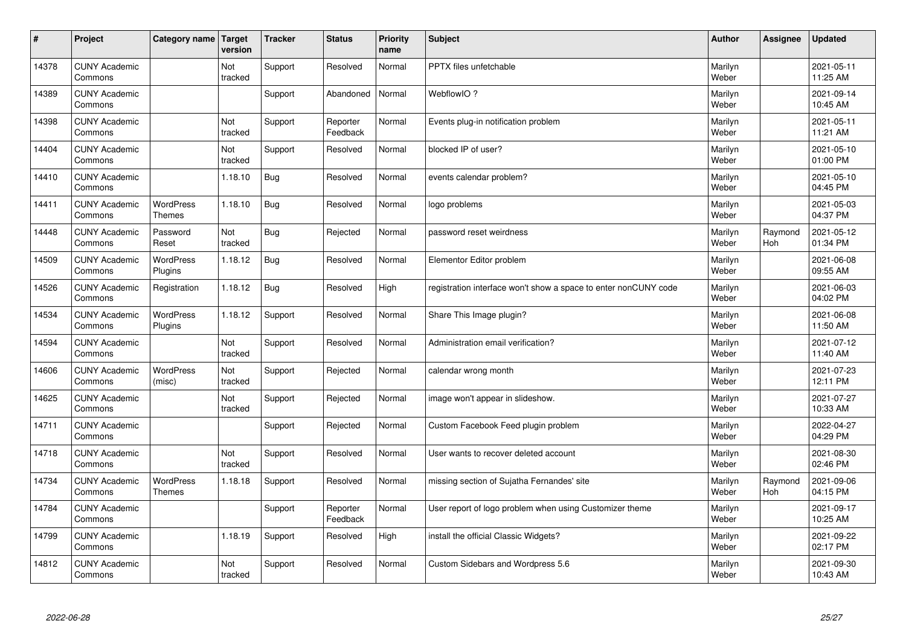| #     | Project                         | Category name   Target            | version        | <b>Tracker</b> | <b>Status</b>        | <b>Priority</b><br>name | <b>Subject</b>                                                  | <b>Author</b>    | Assignee       | <b>Updated</b>         |
|-------|---------------------------------|-----------------------------------|----------------|----------------|----------------------|-------------------------|-----------------------------------------------------------------|------------------|----------------|------------------------|
| 14378 | <b>CUNY Academic</b><br>Commons |                                   | Not<br>tracked | Support        | Resolved             | Normal                  | <b>PPTX</b> files unfetchable                                   | Marilyn<br>Weber |                | 2021-05-11<br>11:25 AM |
| 14389 | <b>CUNY Academic</b><br>Commons |                                   |                | Support        | Abandoned            | Normal                  | WebflowIO?                                                      | Marilyn<br>Weber |                | 2021-09-14<br>10:45 AM |
| 14398 | <b>CUNY Academic</b><br>Commons |                                   | Not<br>tracked | Support        | Reporter<br>Feedback | Normal                  | Events plug-in notification problem                             | Marilyn<br>Weber |                | 2021-05-11<br>11:21 AM |
| 14404 | <b>CUNY Academic</b><br>Commons |                                   | Not<br>tracked | Support        | Resolved             | Normal                  | blocked IP of user?                                             | Marilyn<br>Weber |                | 2021-05-10<br>01:00 PM |
| 14410 | <b>CUNY Academic</b><br>Commons |                                   | 1.18.10        | Bug            | Resolved             | Normal                  | events calendar problem?                                        | Marilyn<br>Weber |                | 2021-05-10<br>04:45 PM |
| 14411 | <b>CUNY Academic</b><br>Commons | <b>WordPress</b><br><b>Themes</b> | 1.18.10        | <b>Bug</b>     | Resolved             | Normal                  | logo problems                                                   | Marilyn<br>Weber |                | 2021-05-03<br>04:37 PM |
| 14448 | <b>CUNY Academic</b><br>Commons | Password<br>Reset                 | Not<br>tracked | <b>Bug</b>     | Rejected             | Normal                  | password reset weirdness                                        | Marilyn<br>Weber | Raymond<br>Hoh | 2021-05-12<br>01:34 PM |
| 14509 | <b>CUNY Academic</b><br>Commons | WordPress<br>Plugins              | 1.18.12        | <b>Bug</b>     | Resolved             | Normal                  | Elementor Editor problem                                        | Marilyn<br>Weber |                | 2021-06-08<br>09:55 AM |
| 14526 | <b>CUNY Academic</b><br>Commons | Registration                      | 1.18.12        | Bug            | Resolved             | High                    | registration interface won't show a space to enter nonCUNY code | Marilyn<br>Weber |                | 2021-06-03<br>04:02 PM |
| 14534 | <b>CUNY Academic</b><br>Commons | WordPress<br>Plugins              | 1.18.12        | Support        | Resolved             | Normal                  | Share This Image plugin?                                        | Marilyn<br>Weber |                | 2021-06-08<br>11:50 AM |
| 14594 | <b>CUNY Academic</b><br>Commons |                                   | Not<br>tracked | Support        | Resolved             | Normal                  | Administration email verification?                              | Marilyn<br>Weber |                | 2021-07-12<br>11:40 AM |
| 14606 | <b>CUNY Academic</b><br>Commons | WordPress<br>(misc)               | Not<br>tracked | Support        | Rejected             | Normal                  | calendar wrong month                                            | Marilyn<br>Weber |                | 2021-07-23<br>12:11 PM |
| 14625 | <b>CUNY Academic</b><br>Commons |                                   | Not<br>tracked | Support        | Rejected             | Normal                  | image won't appear in slideshow.                                | Marilyn<br>Weber |                | 2021-07-27<br>10:33 AM |
| 14711 | <b>CUNY Academic</b><br>Commons |                                   |                | Support        | Rejected             | Normal                  | Custom Facebook Feed plugin problem                             | Marilyn<br>Weber |                | 2022-04-27<br>04:29 PM |
| 14718 | <b>CUNY Academic</b><br>Commons |                                   | Not<br>tracked | Support        | Resolved             | Normal                  | User wants to recover deleted account                           | Marilyn<br>Weber |                | 2021-08-30<br>02:46 PM |
| 14734 | <b>CUNY Academic</b><br>Commons | <b>WordPress</b><br><b>Themes</b> | 1.18.18        | Support        | Resolved             | Normal                  | missing section of Sujatha Fernandes' site                      | Marilyn<br>Weber | Raymond<br>Hoh | 2021-09-06<br>04:15 PM |
| 14784 | <b>CUNY Academic</b><br>Commons |                                   |                | Support        | Reporter<br>Feedback | Normal                  | User report of logo problem when using Customizer theme         | Marilyn<br>Weber |                | 2021-09-17<br>10:25 AM |
| 14799 | <b>CUNY Academic</b><br>Commons |                                   | 1.18.19        | Support        | Resolved             | High                    | install the official Classic Widgets?                           | Marilyn<br>Weber |                | 2021-09-22<br>02:17 PM |
| 14812 | <b>CUNY Academic</b><br>Commons |                                   | Not<br>tracked | Support        | Resolved             | Normal                  | Custom Sidebars and Wordpress 5.6                               | Marilyn<br>Weber |                | 2021-09-30<br>10:43 AM |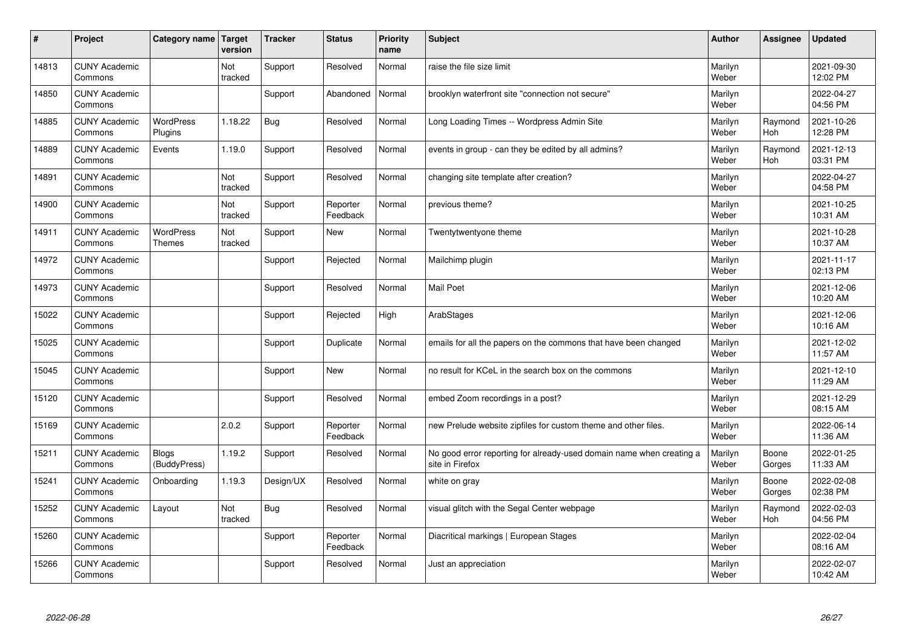| $\sharp$ | Project                         | Category name   Target            | version        | <b>Tracker</b> | <b>Status</b>        | <b>Priority</b><br>name | <b>Subject</b>                                                                          | <b>Author</b>    | Assignee              | <b>Updated</b>         |
|----------|---------------------------------|-----------------------------------|----------------|----------------|----------------------|-------------------------|-----------------------------------------------------------------------------------------|------------------|-----------------------|------------------------|
| 14813    | <b>CUNY Academic</b><br>Commons |                                   | Not<br>tracked | Support        | Resolved             | Normal                  | raise the file size limit                                                               | Marilyn<br>Weber |                       | 2021-09-30<br>12:02 PM |
| 14850    | <b>CUNY Academic</b><br>Commons |                                   |                | Support        | Abandoned            | Normal                  | brooklyn waterfront site "connection not secure"                                        | Marilyn<br>Weber |                       | 2022-04-27<br>04:56 PM |
| 14885    | <b>CUNY Academic</b><br>Commons | <b>WordPress</b><br>Plugins       | 1.18.22        | Bug            | Resolved             | Normal                  | Long Loading Times -- Wordpress Admin Site                                              | Marilyn<br>Weber | Raymond<br>Hoh        | 2021-10-26<br>12:28 PM |
| 14889    | <b>CUNY Academic</b><br>Commons | Events                            | 1.19.0         | Support        | Resolved             | Normal                  | events in group - can they be edited by all admins?                                     | Marilyn<br>Weber | Raymond<br>Hoh        | 2021-12-13<br>03:31 PM |
| 14891    | <b>CUNY Academic</b><br>Commons |                                   | Not<br>tracked | Support        | Resolved             | Normal                  | changing site template after creation?                                                  | Marilyn<br>Weber |                       | 2022-04-27<br>04:58 PM |
| 14900    | <b>CUNY Academic</b><br>Commons |                                   | Not<br>tracked | Support        | Reporter<br>Feedback | Normal                  | previous theme?                                                                         | Marilyn<br>Weber |                       | 2021-10-25<br>10:31 AM |
| 14911    | <b>CUNY Academic</b><br>Commons | <b>WordPress</b><br><b>Themes</b> | Not<br>tracked | Support        | <b>New</b>           | Normal                  | Twentytwentyone theme                                                                   | Marilyn<br>Weber |                       | 2021-10-28<br>10:37 AM |
| 14972    | <b>CUNY Academic</b><br>Commons |                                   |                | Support        | Rejected             | Normal                  | Mailchimp plugin                                                                        | Marilyn<br>Weber |                       | 2021-11-17<br>02:13 PM |
| 14973    | <b>CUNY Academic</b><br>Commons |                                   |                | Support        | Resolved             | Normal                  | <b>Mail Poet</b>                                                                        | Marilyn<br>Weber |                       | 2021-12-06<br>10:20 AM |
| 15022    | <b>CUNY Academic</b><br>Commons |                                   |                | Support        | Rejected             | High                    | ArabStages                                                                              | Marilyn<br>Weber |                       | 2021-12-06<br>10:16 AM |
| 15025    | <b>CUNY Academic</b><br>Commons |                                   |                | Support        | Duplicate            | Normal                  | emails for all the papers on the commons that have been changed                         | Marilyn<br>Weber |                       | 2021-12-02<br>11:57 AM |
| 15045    | <b>CUNY Academic</b><br>Commons |                                   |                | Support        | New                  | Normal                  | no result for KCeL in the search box on the commons                                     | Marilyn<br>Weber |                       | 2021-12-10<br>11:29 AM |
| 15120    | <b>CUNY Academic</b><br>Commons |                                   |                | Support        | Resolved             | Normal                  | embed Zoom recordings in a post?                                                        | Marilyn<br>Weber |                       | 2021-12-29<br>08:15 AM |
| 15169    | <b>CUNY Academic</b><br>Commons |                                   | 2.0.2          | Support        | Reporter<br>Feedback | Normal                  | new Prelude website zipfiles for custom theme and other files.                          | Marilyn<br>Weber |                       | 2022-06-14<br>11:36 AM |
| 15211    | <b>CUNY Academic</b><br>Commons | <b>Blogs</b><br>(BuddyPress)      | 1.19.2         | Support        | Resolved             | Normal                  | No good error reporting for already-used domain name when creating a<br>site in Firefox | Marilyn<br>Weber | Boone<br>Gorges       | 2022-01-25<br>11:33 AM |
| 15241    | <b>CUNY Academic</b><br>Commons | Onboarding                        | 1.19.3         | Design/UX      | Resolved             | Normal                  | white on gray                                                                           | Marilyn<br>Weber | Boone<br>Gorges       | 2022-02-08<br>02:38 PM |
| 15252    | <b>CUNY Academic</b><br>Commons | Layout                            | Not<br>tracked | Bug            | Resolved             | Normal                  | visual glitch with the Segal Center webpage                                             | Marilyn<br>Weber | Raymond<br><b>Hoh</b> | 2022-02-03<br>04:56 PM |
| 15260    | <b>CUNY Academic</b><br>Commons |                                   |                | Support        | Reporter<br>Feedback | Normal                  | Diacritical markings   European Stages                                                  | Marilyn<br>Weber |                       | 2022-02-04<br>08:16 AM |
| 15266    | <b>CUNY Academic</b><br>Commons |                                   |                | Support        | Resolved             | Normal                  | Just an appreciation                                                                    | Marilyn<br>Weber |                       | 2022-02-07<br>10:42 AM |